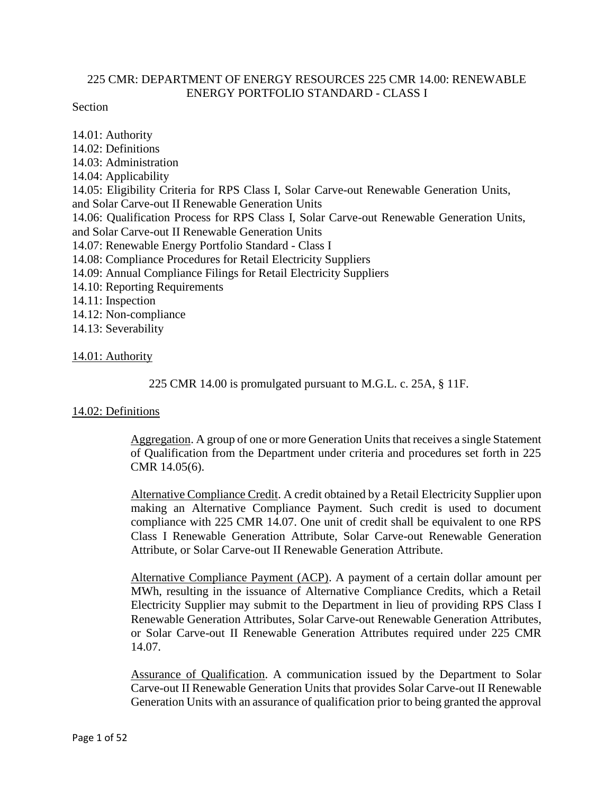## 225 CMR: DEPARTMENT OF ENERGY RESOURCES 225 CMR 14.00: RENEWABLE ENERGY PORTFOLIO STANDARD - CLASS I

### Section

14.01: Authority 14.02: Definitions 14.03: Administration 14.04: Applicability 14.05: Eligibility Criteria for RPS Class I, Solar Carve-out Renewable Generation Units, and Solar Carve-out II Renewable Generation Units 14.06: Qualification Process for RPS Class I, Solar Carve-out Renewable Generation Units, and Solar Carve-out II Renewable Generation Units 14.07: Renewable Energy Portfolio Standard - Class I 14.08: Compliance Procedures for Retail Electricity Suppliers 14.09: Annual Compliance Filings for Retail Electricity Suppliers 14.10: Reporting Requirements 14.11: Inspection 14.12: Non-compliance 14.13: Severability

### 14.01: Authority

225 CMR 14.00 is promulgated pursuant to M.G.L. c. 25A, § 11F.

## 14.02: Definitions

Aggregation. A group of one or more Generation Units that receives a single Statement of Qualification from the Department under criteria and procedures set forth in 225 CMR 14.05(6).

Alternative Compliance Credit. A credit obtained by a Retail Electricity Supplier upon making an Alternative Compliance Payment. Such credit is used to document compliance with 225 CMR 14.07. One unit of credit shall be equivalent to one RPS Class I Renewable Generation Attribute, Solar Carve-out Renewable Generation Attribute, or Solar Carve-out II Renewable Generation Attribute.

Alternative Compliance Payment (ACP). A payment of a certain dollar amount per MWh, resulting in the issuance of Alternative Compliance Credits, which a Retail Electricity Supplier may submit to the Department in lieu of providing RPS Class I Renewable Generation Attributes, Solar Carve-out Renewable Generation Attributes, or Solar Carve-out II Renewable Generation Attributes required under 225 CMR 14.07.

Assurance of Qualification. A communication issued by the Department to Solar Carve-out II Renewable Generation Units that provides Solar Carve-out II Renewable Generation Units with an assurance of qualification prior to being granted the approval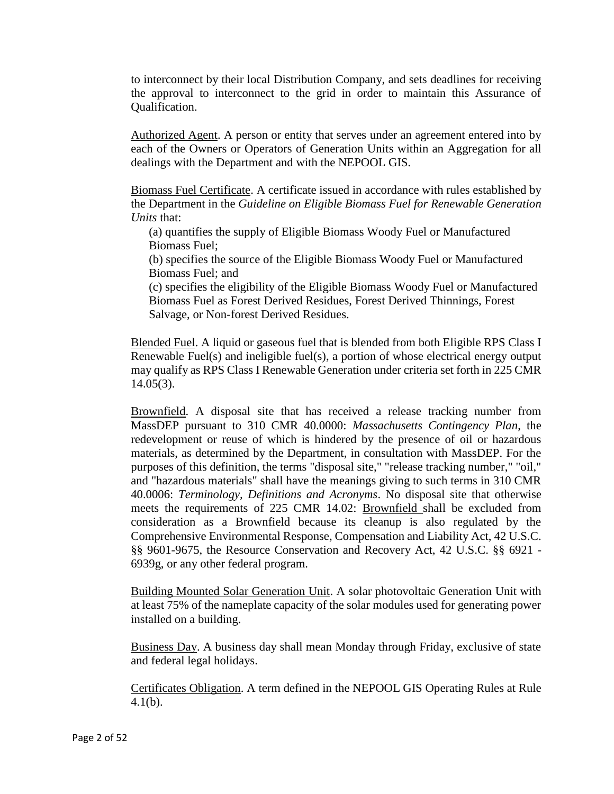to interconnect by their local Distribution Company, and sets deadlines for receiving the approval to interconnect to the grid in order to maintain this Assurance of Qualification.

Authorized Agent. A person or entity that serves under an agreement entered into by each of the Owners or Operators of Generation Units within an Aggregation for all dealings with the Department and with the NEPOOL GIS.

Biomass Fuel Certificate. A certificate issued in accordance with rules established by the Department in the *Guideline on Eligible Biomass Fuel for Renewable Generation Units* that:

(a) quantifies the supply of Eligible Biomass Woody Fuel or Manufactured Biomass Fuel;

(b) specifies the source of the Eligible Biomass Woody Fuel or Manufactured Biomass Fuel; and

(c) specifies the eligibility of the Eligible Biomass Woody Fuel or Manufactured Biomass Fuel as Forest Derived Residues, Forest Derived Thinnings, Forest Salvage, or Non-forest Derived Residues.

Blended Fuel. A liquid or gaseous fuel that is blended from both Eligible RPS Class I Renewable Fuel(s) and ineligible fuel(s), a portion of whose electrical energy output may qualify as RPS Class I Renewable Generation under criteria set forth in 225 CMR  $14.05(3)$ .

Brownfield. A disposal site that has received a release tracking number from MassDEP pursuant to 310 CMR 40.0000: *Massachusetts Contingency Plan*, the redevelopment or reuse of which is hindered by the presence of oil or hazardous materials, as determined by the Department, in consultation with MassDEP. For the purposes of this definition, the terms "disposal site," "release tracking number," "oil," and "hazardous materials" shall have the meanings giving to such terms in 310 CMR 40.0006: *Terminology, Definitions and Acronyms*. No disposal site that otherwise meets the requirements of 225 CMR 14.02: Brownfield shall be excluded from consideration as a Brownfield because its cleanup is also regulated by the Comprehensive Environmental Response, Compensation and Liability Act, 42 U.S.C. §§ 9601-9675, the Resource Conservation and Recovery Act, 42 U.S.C. §§ 6921 - 6939g, or any other federal program.

Building Mounted Solar Generation Unit. A solar photovoltaic Generation Unit with at least 75% of the nameplate capacity of the solar modules used for generating power installed on a building.

Business Day. A business day shall mean Monday through Friday, exclusive of state and federal legal holidays.

Certificates Obligation. A term defined in the NEPOOL GIS Operating Rules at Rule 4.1(b).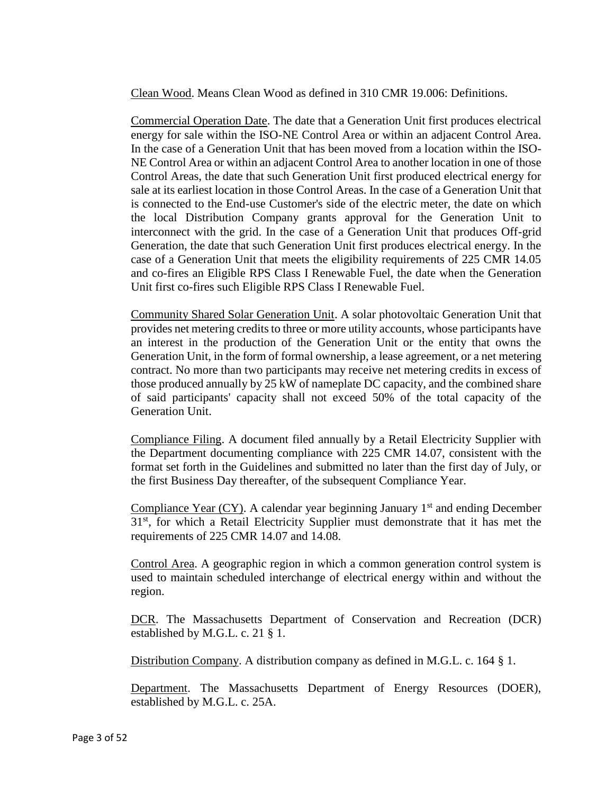Clean Wood. Means Clean Wood as defined in 310 CMR 19.006: Definitions.

Commercial Operation Date. The date that a Generation Unit first produces electrical energy for sale within the ISO-NE Control Area or within an adjacent Control Area. In the case of a Generation Unit that has been moved from a location within the ISO-NE Control Area or within an adjacent Control Area to another location in one of those Control Areas, the date that such Generation Unit first produced electrical energy for sale at its earliest location in those Control Areas. In the case of a Generation Unit that is connected to the End-use Customer's side of the electric meter, the date on which the local Distribution Company grants approval for the Generation Unit to interconnect with the grid. In the case of a Generation Unit that produces Off-grid Generation, the date that such Generation Unit first produces electrical energy. In the case of a Generation Unit that meets the eligibility requirements of 225 CMR 14.05 and co-fires an Eligible RPS Class I Renewable Fuel, the date when the Generation Unit first co-fires such Eligible RPS Class I Renewable Fuel.

Community Shared Solar Generation Unit. A solar photovoltaic Generation Unit that provides net metering credits to three or more utility accounts, whose participants have an interest in the production of the Generation Unit or the entity that owns the Generation Unit, in the form of formal ownership, a lease agreement, or a net metering contract. No more than two participants may receive net metering credits in excess of those produced annually by 25 kW of nameplate DC capacity, and the combined share of said participants' capacity shall not exceed 50% of the total capacity of the Generation Unit.

Compliance Filing. A document filed annually by a Retail Electricity Supplier with the Department documenting compliance with 225 CMR 14.07, consistent with the format set forth in the Guidelines and submitted no later than the first day of July, or the first Business Day thereafter, of the subsequent Compliance Year.

Compliance Year  $(CY)$ . A calendar year beginning January 1<sup>st</sup> and ending December  $31<sup>st</sup>$ , for which a Retail Electricity Supplier must demonstrate that it has met the requirements of 225 CMR 14.07 and 14.08.

Control Area. A geographic region in which a common generation control system is used to maintain scheduled interchange of electrical energy within and without the region.

DCR. The Massachusetts Department of Conservation and Recreation (DCR) established by M.G.L. c. 21 § 1.

Distribution Company. A distribution company as defined in M.G.L. c. 164 § 1.

Department. The Massachusetts Department of Energy Resources (DOER), established by M.G.L. c. 25A.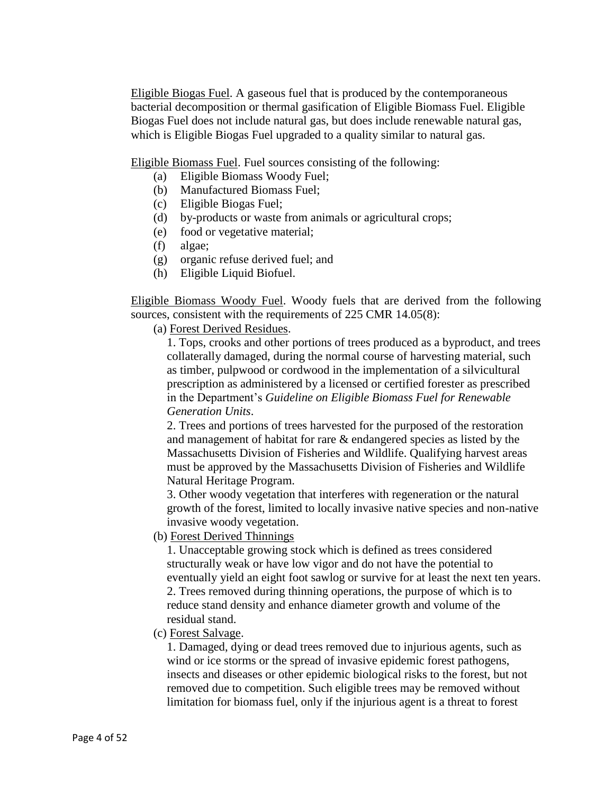Eligible Biogas Fuel. A gaseous fuel that is produced by the contemporaneous bacterial decomposition or thermal gasification of Eligible Biomass Fuel. Eligible Biogas Fuel does not include natural gas, but does include renewable natural gas, which is Eligible Biogas Fuel upgraded to a quality similar to natural gas.

Eligible Biomass Fuel. Fuel sources consisting of the following:

- (a) Eligible Biomass Woody Fuel;
- (b) Manufactured Biomass Fuel;
- (c) Eligible Biogas Fuel;
- (d) by-products or waste from animals or agricultural crops;
- (e) food or vegetative material;
- (f) algae;
- (g) organic refuse derived fuel; and
- (h) Eligible Liquid Biofuel.

Eligible Biomass Woody Fuel. Woody fuels that are derived from the following sources, consistent with the requirements of 225 CMR 14.05(8):

(a) Forest Derived Residues.

1. Tops, crooks and other portions of trees produced as a byproduct, and trees collaterally damaged, during the normal course of harvesting material, such as timber, pulpwood or cordwood in the implementation of a silvicultural prescription as administered by a licensed or certified forester as prescribed in the Department's *Guideline on Eligible Biomass Fuel for Renewable Generation Units*.

2. Trees and portions of trees harvested for the purposed of the restoration and management of habitat for rare & endangered species as listed by the Massachusetts Division of Fisheries and Wildlife. Qualifying harvest areas must be approved by the Massachusetts Division of Fisheries and Wildlife Natural Heritage Program.

3. Other woody vegetation that interferes with regeneration or the natural growth of the forest, limited to locally invasive native species and non-native invasive woody vegetation.

(b) Forest Derived Thinnings

1. Unacceptable growing stock which is defined as trees considered structurally weak or have low vigor and do not have the potential to eventually yield an eight foot sawlog or survive for at least the next ten years. 2. Trees removed during thinning operations, the purpose of which is to reduce stand density and enhance diameter growth and volume of the residual stand.

(c) Forest Salvage.

1. Damaged, dying or dead trees removed due to injurious agents, such as wind or ice storms or the spread of invasive epidemic forest pathogens, insects and diseases or other epidemic biological risks to the forest, but not removed due to competition. Such eligible trees may be removed without limitation for biomass fuel, only if the injurious agent is a threat to forest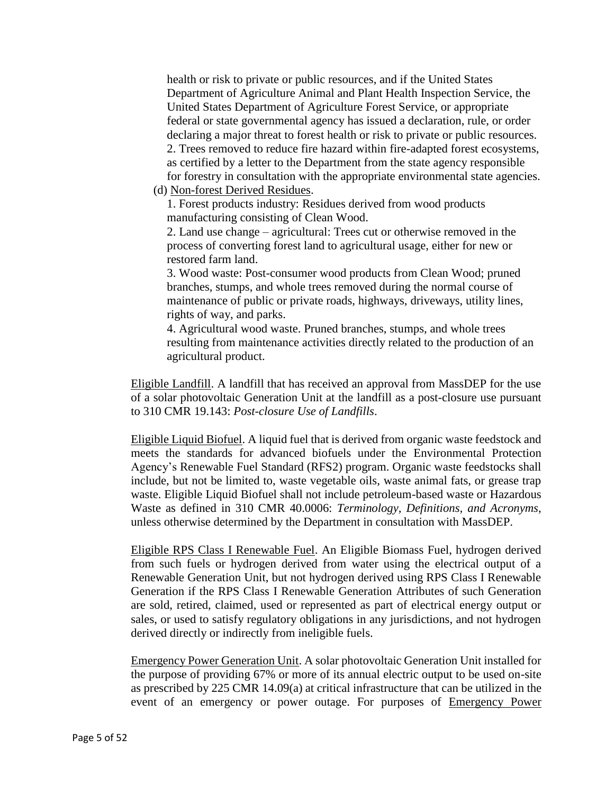health or risk to private or public resources, and if the United States Department of Agriculture Animal and Plant Health Inspection Service, the United States Department of Agriculture Forest Service, or appropriate federal or state governmental agency has issued a declaration, rule, or order declaring a major threat to forest health or risk to private or public resources. 2. Trees removed to reduce fire hazard within fire-adapted forest ecosystems, as certified by a letter to the Department from the state agency responsible for forestry in consultation with the appropriate environmental state agencies.

(d) Non-forest Derived Residues.

1. Forest products industry: Residues derived from wood products manufacturing consisting of Clean Wood.

2. Land use change – agricultural: Trees cut or otherwise removed in the process of converting forest land to agricultural usage, either for new or restored farm land.

3. Wood waste: Post-consumer wood products from Clean Wood; pruned branches, stumps, and whole trees removed during the normal course of maintenance of public or private roads, highways, driveways, utility lines, rights of way, and parks.

4. Agricultural wood waste. Pruned branches, stumps, and whole trees resulting from maintenance activities directly related to the production of an agricultural product.

Eligible Landfill. A landfill that has received an approval from MassDEP for the use of a solar photovoltaic Generation Unit at the landfill as a post-closure use pursuant to 310 CMR 19.143: *Post-closure Use of Landfills*.

Eligible Liquid Biofuel. A liquid fuel that is derived from organic waste feedstock and meets the standards for advanced biofuels under the Environmental Protection Agency's Renewable Fuel Standard (RFS2) program. Organic waste feedstocks shall include, but not be limited to, waste vegetable oils, waste animal fats, or grease trap waste. Eligible Liquid Biofuel shall not include petroleum-based waste or Hazardous Waste as defined in 310 CMR 40.0006: *Terminology, Definitions, and Acronyms*, unless otherwise determined by the Department in consultation with MassDEP.

Eligible RPS Class I Renewable Fuel. An Eligible Biomass Fuel, hydrogen derived from such fuels or hydrogen derived from water using the electrical output of a Renewable Generation Unit, but not hydrogen derived using RPS Class I Renewable Generation if the RPS Class I Renewable Generation Attributes of such Generation are sold, retired, claimed, used or represented as part of electrical energy output or sales, or used to satisfy regulatory obligations in any jurisdictions, and not hydrogen derived directly or indirectly from ineligible fuels.

Emergency Power Generation Unit. A solar photovoltaic Generation Unit installed for the purpose of providing 67% or more of its annual electric output to be used on-site as prescribed by 225 CMR 14.09(a) at critical infrastructure that can be utilized in the event of an emergency or power outage. For purposes of Emergency Power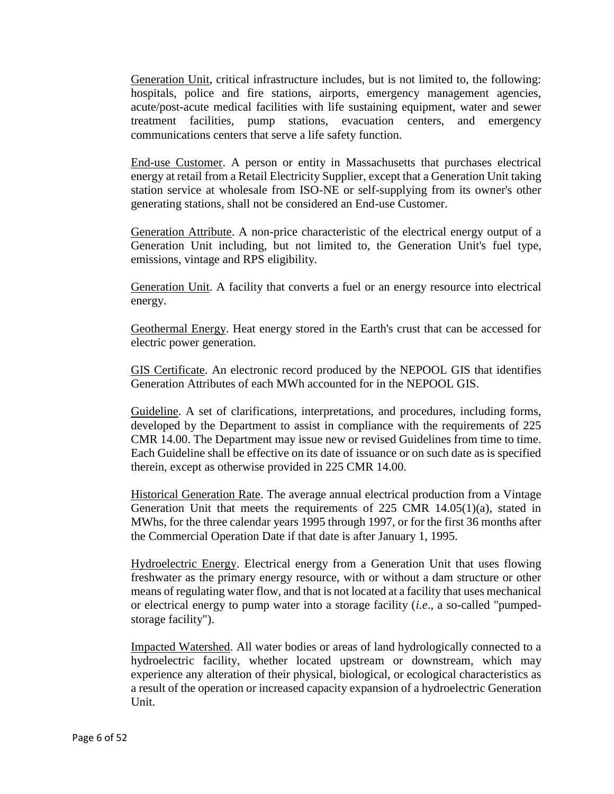Generation Unit, critical infrastructure includes, but is not limited to, the following: hospitals, police and fire stations, airports, emergency management agencies, acute/post-acute medical facilities with life sustaining equipment, water and sewer treatment facilities, pump stations, evacuation centers, and emergency communications centers that serve a life safety function.

End-use Customer. A person or entity in Massachusetts that purchases electrical energy at retail from a Retail Electricity Supplier, except that a Generation Unit taking station service at wholesale from ISO-NE or self-supplying from its owner's other generating stations, shall not be considered an End-use Customer.

Generation Attribute. A non-price characteristic of the electrical energy output of a Generation Unit including, but not limited to, the Generation Unit's fuel type, emissions, vintage and RPS eligibility.

Generation Unit. A facility that converts a fuel or an energy resource into electrical energy.

Geothermal Energy. Heat energy stored in the Earth's crust that can be accessed for electric power generation.

GIS Certificate. An electronic record produced by the NEPOOL GIS that identifies Generation Attributes of each MWh accounted for in the NEPOOL GIS.

Guideline. A set of clarifications, interpretations, and procedures, including forms, developed by the Department to assist in compliance with the requirements of 225 CMR 14.00. The Department may issue new or revised Guidelines from time to time. Each Guideline shall be effective on its date of issuance or on such date as is specified therein, except as otherwise provided in 225 CMR 14.00.

Historical Generation Rate. The average annual electrical production from a Vintage Generation Unit that meets the requirements of 225 CMR 14.05(1)(a), stated in MWhs, for the three calendar years 1995 through 1997, or for the first 36 months after the Commercial Operation Date if that date is after January 1, 1995.

Hydroelectric Energy. Electrical energy from a Generation Unit that uses flowing freshwater as the primary energy resource, with or without a dam structure or other means of regulating water flow, and that is not located at a facility that uses mechanical or electrical energy to pump water into a storage facility (*i.e*., a so-called "pumpedstorage facility").

Impacted Watershed. All water bodies or areas of land hydrologically connected to a hydroelectric facility, whether located upstream or downstream, which may experience any alteration of their physical, biological, or ecological characteristics as a result of the operation or increased capacity expansion of a hydroelectric Generation Unit.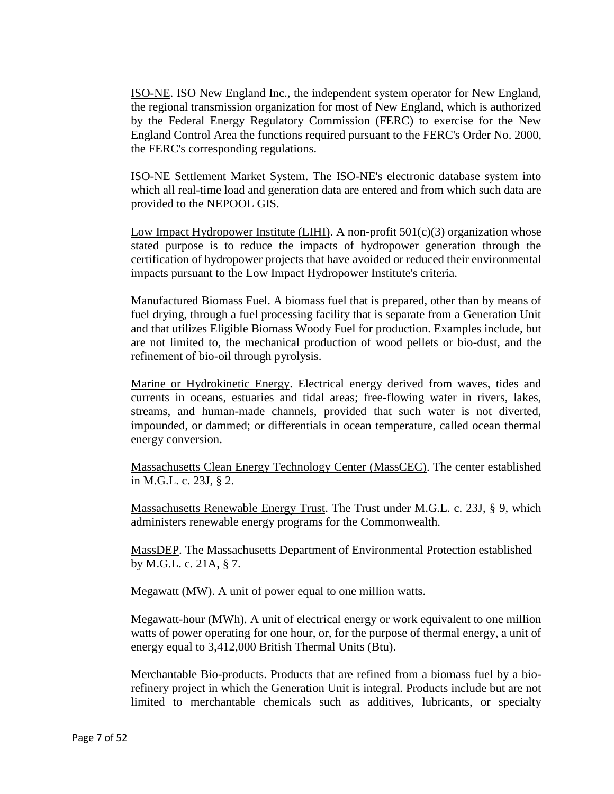ISO-NE. ISO New England Inc., the independent system operator for New England, the regional transmission organization for most of New England, which is authorized by the Federal Energy Regulatory Commission (FERC) to exercise for the New England Control Area the functions required pursuant to the FERC's Order No. 2000, the FERC's corresponding regulations.

ISO-NE Settlement Market System. The ISO-NE's electronic database system into which all real-time load and generation data are entered and from which such data are provided to the NEPOOL GIS.

Low Impact Hydropower Institute (LIHI). A non-profit  $501(c)(3)$  organization whose stated purpose is to reduce the impacts of hydropower generation through the certification of hydropower projects that have avoided or reduced their environmental impacts pursuant to the Low Impact Hydropower Institute's criteria.

Manufactured Biomass Fuel. A biomass fuel that is prepared, other than by means of fuel drying, through a fuel processing facility that is separate from a Generation Unit and that utilizes Eligible Biomass Woody Fuel for production. Examples include, but are not limited to, the mechanical production of wood pellets or bio-dust, and the refinement of bio-oil through pyrolysis.

Marine or Hydrokinetic Energy. Electrical energy derived from waves, tides and currents in oceans, estuaries and tidal areas; free-flowing water in rivers, lakes, streams, and human-made channels, provided that such water is not diverted, impounded, or dammed; or differentials in ocean temperature, called ocean thermal energy conversion.

Massachusetts Clean Energy Technology Center (MassCEC). The center established in M.G.L. c. 23J, § 2.

Massachusetts Renewable Energy Trust. The Trust under M.G.L. c. 23J, § 9, which administers renewable energy programs for the Commonwealth.

MassDEP. The Massachusetts Department of Environmental Protection established by M.G.L. c. 21A, § 7.

Megawatt (MW). A unit of power equal to one million watts.

Megawatt-hour (MWh). A unit of electrical energy or work equivalent to one million watts of power operating for one hour, or, for the purpose of thermal energy, a unit of energy equal to 3,412,000 British Thermal Units (Btu).

Merchantable Bio-products. Products that are refined from a biomass fuel by a biorefinery project in which the Generation Unit is integral. Products include but are not limited to merchantable chemicals such as additives, lubricants, or specialty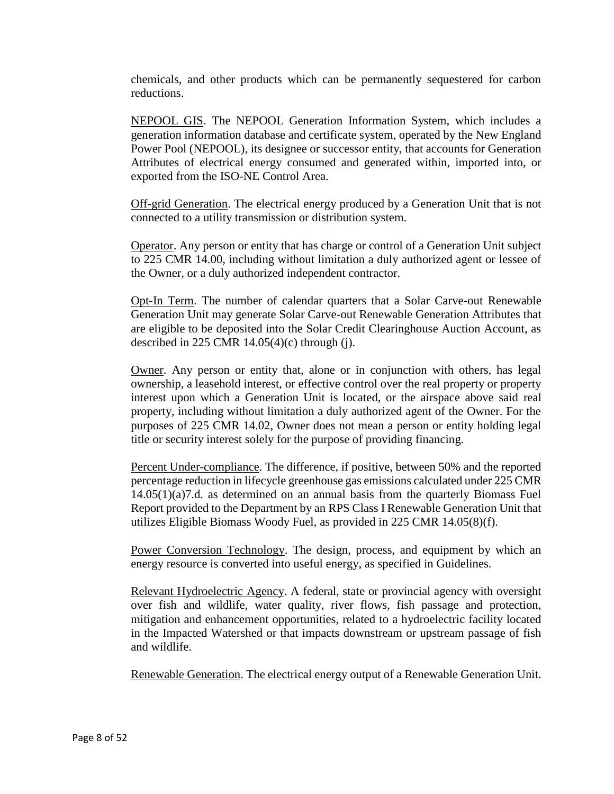chemicals, and other products which can be permanently sequestered for carbon reductions.

NEPOOL GIS. The NEPOOL Generation Information System, which includes a generation information database and certificate system, operated by the New England Power Pool (NEPOOL), its designee or successor entity, that accounts for Generation Attributes of electrical energy consumed and generated within, imported into, or exported from the ISO-NE Control Area.

Off-grid Generation. The electrical energy produced by a Generation Unit that is not connected to a utility transmission or distribution system.

Operator. Any person or entity that has charge or control of a Generation Unit subject to 225 CMR 14.00, including without limitation a duly authorized agent or lessee of the Owner, or a duly authorized independent contractor.

Opt-In Term. The number of calendar quarters that a Solar Carve-out Renewable Generation Unit may generate Solar Carve-out Renewable Generation Attributes that are eligible to be deposited into the Solar Credit Clearinghouse Auction Account, as described in 225 CMR  $14.05(4)$ (c) through (j).

Owner. Any person or entity that, alone or in conjunction with others, has legal ownership, a leasehold interest, or effective control over the real property or property interest upon which a Generation Unit is located, or the airspace above said real property, including without limitation a duly authorized agent of the Owner. For the purposes of 225 CMR 14.02, Owner does not mean a person or entity holding legal title or security interest solely for the purpose of providing financing.

Percent Under-compliance. The difference, if positive, between 50% and the reported percentage reduction in lifecycle greenhouse gas emissions calculated under 225 CMR 14.05(1)(a)7.d. as determined on an annual basis from the quarterly Biomass Fuel Report provided to the Department by an RPS Class I Renewable Generation Unit that utilizes Eligible Biomass Woody Fuel, as provided in 225 CMR 14.05(8)(f).

Power Conversion Technology. The design, process, and equipment by which an energy resource is converted into useful energy, as specified in Guidelines.

Relevant Hydroelectric Agency. A federal, state or provincial agency with oversight over fish and wildlife, water quality, river flows, fish passage and protection, mitigation and enhancement opportunities, related to a hydroelectric facility located in the Impacted Watershed or that impacts downstream or upstream passage of fish and wildlife.

Renewable Generation. The electrical energy output of a Renewable Generation Unit.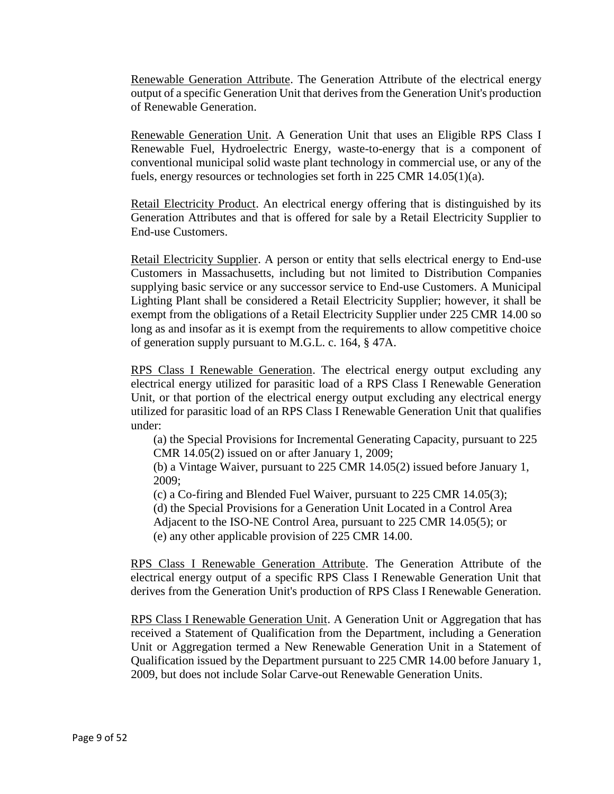Renewable Generation Attribute. The Generation Attribute of the electrical energy output of a specific Generation Unit that derives from the Generation Unit's production of Renewable Generation.

Renewable Generation Unit. A Generation Unit that uses an Eligible RPS Class I Renewable Fuel, Hydroelectric Energy, waste-to-energy that is a component of conventional municipal solid waste plant technology in commercial use, or any of the fuels, energy resources or technologies set forth in 225 CMR 14.05(1)(a).

Retail Electricity Product. An electrical energy offering that is distinguished by its Generation Attributes and that is offered for sale by a Retail Electricity Supplier to End-use Customers.

Retail Electricity Supplier. A person or entity that sells electrical energy to End-use Customers in Massachusetts, including but not limited to Distribution Companies supplying basic service or any successor service to End-use Customers. A Municipal Lighting Plant shall be considered a Retail Electricity Supplier; however, it shall be exempt from the obligations of a Retail Electricity Supplier under 225 CMR 14.00 so long as and insofar as it is exempt from the requirements to allow competitive choice of generation supply pursuant to M.G.L. c. 164, § 47A.

RPS Class I Renewable Generation. The electrical energy output excluding any electrical energy utilized for parasitic load of a RPS Class I Renewable Generation Unit, or that portion of the electrical energy output excluding any electrical energy utilized for parasitic load of an RPS Class I Renewable Generation Unit that qualifies under:

(a) the Special Provisions for Incremental Generating Capacity, pursuant to 225 CMR 14.05(2) issued on or after January 1, 2009;

(b) a Vintage Waiver, pursuant to 225 CMR 14.05(2) issued before January 1, 2009;

(c) a Co-firing and Blended Fuel Waiver, pursuant to 225 CMR 14.05(3);

(d) the Special Provisions for a Generation Unit Located in a Control Area

Adjacent to the ISO-NE Control Area, pursuant to 225 CMR 14.05(5); or

(e) any other applicable provision of 225 CMR 14.00.

RPS Class I Renewable Generation Attribute. The Generation Attribute of the electrical energy output of a specific RPS Class I Renewable Generation Unit that derives from the Generation Unit's production of RPS Class I Renewable Generation.

RPS Class I Renewable Generation Unit. A Generation Unit or Aggregation that has received a Statement of Qualification from the Department, including a Generation Unit or Aggregation termed a New Renewable Generation Unit in a Statement of Qualification issued by the Department pursuant to 225 CMR 14.00 before January 1, 2009, but does not include Solar Carve-out Renewable Generation Units.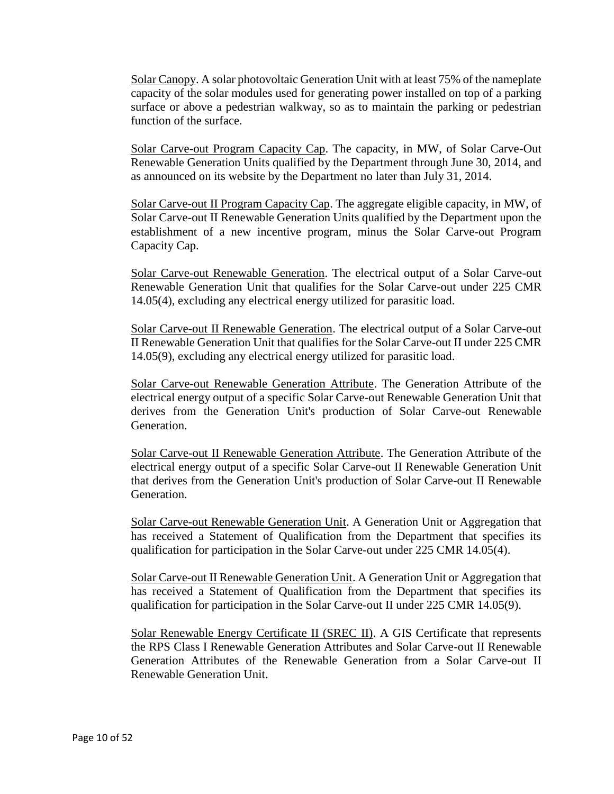Solar Canopy. A solar photovoltaic Generation Unit with at least 75% of the nameplate capacity of the solar modules used for generating power installed on top of a parking surface or above a pedestrian walkway, so as to maintain the parking or pedestrian function of the surface.

Solar Carve-out Program Capacity Cap. The capacity, in MW, of Solar Carve-Out Renewable Generation Units qualified by the Department through June 30, 2014, and as announced on its website by the Department no later than July 31, 2014.

Solar Carve-out II Program Capacity Cap. The aggregate eligible capacity, in MW, of Solar Carve-out II Renewable Generation Units qualified by the Department upon the establishment of a new incentive program, minus the Solar Carve-out Program Capacity Cap.

Solar Carve-out Renewable Generation. The electrical output of a Solar Carve-out Renewable Generation Unit that qualifies for the Solar Carve-out under 225 CMR 14.05(4), excluding any electrical energy utilized for parasitic load.

Solar Carve-out II Renewable Generation. The electrical output of a Solar Carve-out II Renewable Generation Unit that qualifies for the Solar Carve-out II under 225 CMR 14.05(9), excluding any electrical energy utilized for parasitic load.

Solar Carve-out Renewable Generation Attribute. The Generation Attribute of the electrical energy output of a specific Solar Carve-out Renewable Generation Unit that derives from the Generation Unit's production of Solar Carve-out Renewable Generation.

Solar Carve-out II Renewable Generation Attribute. The Generation Attribute of the electrical energy output of a specific Solar Carve-out II Renewable Generation Unit that derives from the Generation Unit's production of Solar Carve-out II Renewable Generation.

Solar Carve-out Renewable Generation Unit. A Generation Unit or Aggregation that has received a Statement of Qualification from the Department that specifies its qualification for participation in the Solar Carve-out under 225 CMR 14.05(4).

Solar Carve-out II Renewable Generation Unit. A Generation Unit or Aggregation that has received a Statement of Qualification from the Department that specifies its qualification for participation in the Solar Carve-out II under 225 CMR 14.05(9).

Solar Renewable Energy Certificate II (SREC II). A GIS Certificate that represents the RPS Class I Renewable Generation Attributes and Solar Carve-out II Renewable Generation Attributes of the Renewable Generation from a Solar Carve-out II Renewable Generation Unit.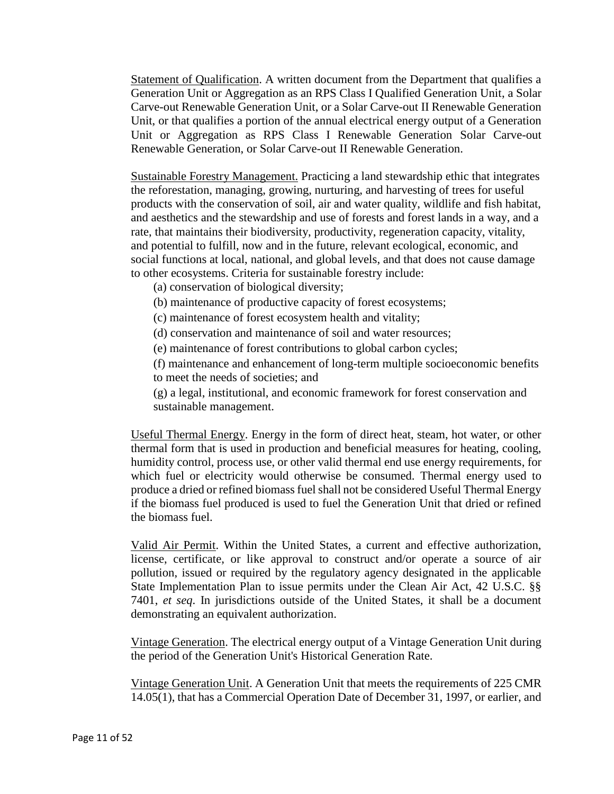Statement of Qualification. A written document from the Department that qualifies a Generation Unit or Aggregation as an RPS Class I Qualified Generation Unit, a Solar Carve-out Renewable Generation Unit, or a Solar Carve-out II Renewable Generation Unit, or that qualifies a portion of the annual electrical energy output of a Generation Unit or Aggregation as RPS Class I Renewable Generation Solar Carve-out Renewable Generation, or Solar Carve-out II Renewable Generation.

Sustainable Forestry Management. Practicing a land stewardship ethic that integrates the reforestation, managing, growing, nurturing, and harvesting of trees for useful products with the conservation of soil, air and water quality, wildlife and fish habitat, and aesthetics and the stewardship and use of forests and forest lands in a way, and a rate, that maintains their biodiversity, productivity, regeneration capacity, vitality, and potential to fulfill, now and in the future, relevant ecological, economic, and social functions at local, national, and global levels, and that does not cause damage to other ecosystems. Criteria for sustainable forestry include:

- (a) conservation of biological diversity;
- (b) maintenance of productive capacity of forest ecosystems;

(c) maintenance of forest ecosystem health and vitality;

(d) conservation and maintenance of soil and water resources;

(e) maintenance of forest contributions to global carbon cycles;

(f) maintenance and enhancement of long-term multiple socioeconomic benefits to meet the needs of societies; and

(g) a legal, institutional, and economic framework for forest conservation and sustainable management.

Useful Thermal Energy. Energy in the form of direct heat, steam, hot water, or other thermal form that is used in production and beneficial measures for heating, cooling, humidity control, process use, or other valid thermal end use energy requirements, for which fuel or electricity would otherwise be consumed. Thermal energy used to produce a dried or refined biomass fuel shall not be considered Useful Thermal Energy if the biomass fuel produced is used to fuel the Generation Unit that dried or refined the biomass fuel.

Valid Air Permit. Within the United States, a current and effective authorization, license, certificate, or like approval to construct and/or operate a source of air pollution, issued or required by the regulatory agency designated in the applicable State Implementation Plan to issue permits under the Clean Air Act, 42 U.S.C. §§ 7401, *et seq*. In jurisdictions outside of the United States, it shall be a document demonstrating an equivalent authorization.

Vintage Generation. The electrical energy output of a Vintage Generation Unit during the period of the Generation Unit's Historical Generation Rate.

Vintage Generation Unit. A Generation Unit that meets the requirements of 225 CMR 14.05(1), that has a Commercial Operation Date of December 31, 1997, or earlier, and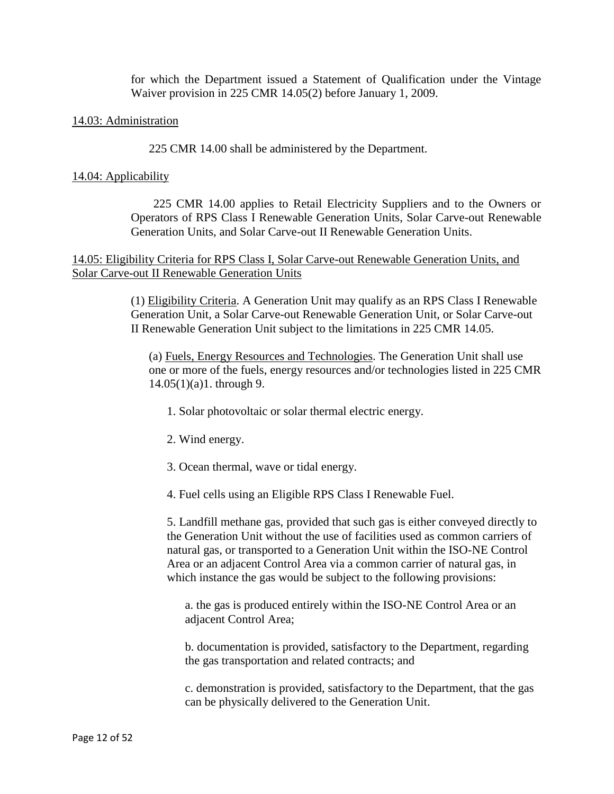for which the Department issued a Statement of Qualification under the Vintage Waiver provision in 225 CMR 14.05(2) before January 1, 2009.

### 14.03: Administration

225 CMR 14.00 shall be administered by the Department.

### 14.04: Applicability

225 CMR 14.00 applies to Retail Electricity Suppliers and to the Owners or Operators of RPS Class I Renewable Generation Units, Solar Carve-out Renewable Generation Units, and Solar Carve-out II Renewable Generation Units.

## 14.05: Eligibility Criteria for RPS Class I, Solar Carve-out Renewable Generation Units, and Solar Carve-out II Renewable Generation Units

(1) Eligibility Criteria. A Generation Unit may qualify as an RPS Class I Renewable Generation Unit, a Solar Carve-out Renewable Generation Unit, or Solar Carve-out II Renewable Generation Unit subject to the limitations in 225 CMR 14.05.

(a) Fuels, Energy Resources and Technologies. The Generation Unit shall use one or more of the fuels, energy resources and/or technologies listed in 225 CMR 14.05(1)(a)1. through 9.

- 1. Solar photovoltaic or solar thermal electric energy.
- 2. Wind energy.
- 3. Ocean thermal, wave or tidal energy.
- 4. Fuel cells using an Eligible RPS Class I Renewable Fuel.

5. Landfill methane gas, provided that such gas is either conveyed directly to the Generation Unit without the use of facilities used as common carriers of natural gas, or transported to a Generation Unit within the ISO-NE Control Area or an adjacent Control Area via a common carrier of natural gas, in which instance the gas would be subject to the following provisions:

a. the gas is produced entirely within the ISO-NE Control Area or an adjacent Control Area;

b. documentation is provided, satisfactory to the Department, regarding the gas transportation and related contracts; and

c. demonstration is provided, satisfactory to the Department, that the gas can be physically delivered to the Generation Unit.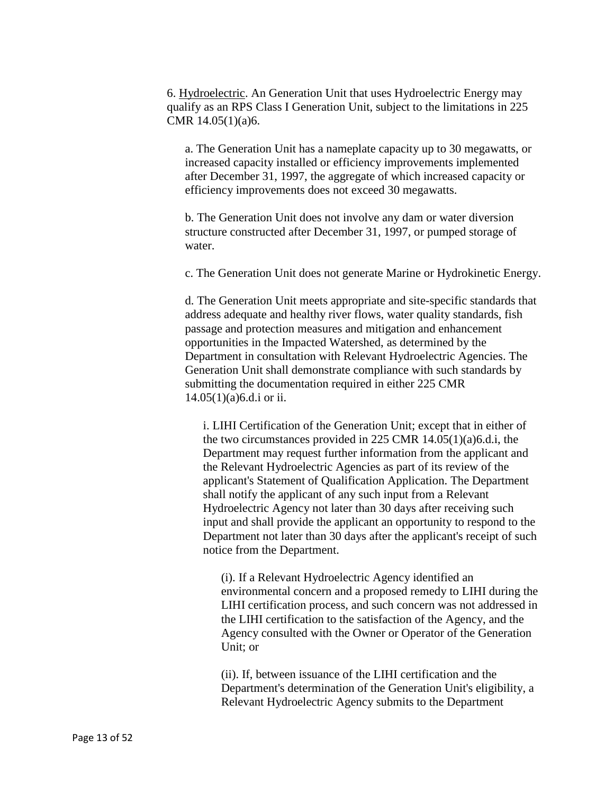6. Hydroelectric. An Generation Unit that uses Hydroelectric Energy may qualify as an RPS Class I Generation Unit, subject to the limitations in 225 CMR 14.05(1)(a)6.

a. The Generation Unit has a nameplate capacity up to 30 megawatts, or increased capacity installed or efficiency improvements implemented after December 31, 1997, the aggregate of which increased capacity or efficiency improvements does not exceed 30 megawatts.

b. The Generation Unit does not involve any dam or water diversion structure constructed after December 31, 1997, or pumped storage of water.

c. The Generation Unit does not generate Marine or Hydrokinetic Energy.

d. The Generation Unit meets appropriate and site-specific standards that address adequate and healthy river flows, water quality standards, fish passage and protection measures and mitigation and enhancement opportunities in the Impacted Watershed, as determined by the Department in consultation with Relevant Hydroelectric Agencies. The Generation Unit shall demonstrate compliance with such standards by submitting the documentation required in either 225 CMR 14.05(1)(a)6.d.i or ii.

i. LIHI Certification of the Generation Unit; except that in either of the two circumstances provided in 225 CMR 14.05(1)(a)6.d.i, the Department may request further information from the applicant and the Relevant Hydroelectric Agencies as part of its review of the applicant's Statement of Qualification Application. The Department shall notify the applicant of any such input from a Relevant Hydroelectric Agency not later than 30 days after receiving such input and shall provide the applicant an opportunity to respond to the Department not later than 30 days after the applicant's receipt of such notice from the Department.

(i). If a Relevant Hydroelectric Agency identified an environmental concern and a proposed remedy to LIHI during the LIHI certification process, and such concern was not addressed in the LIHI certification to the satisfaction of the Agency, and the Agency consulted with the Owner or Operator of the Generation Unit; or

(ii). If, between issuance of the LIHI certification and the Department's determination of the Generation Unit's eligibility, a Relevant Hydroelectric Agency submits to the Department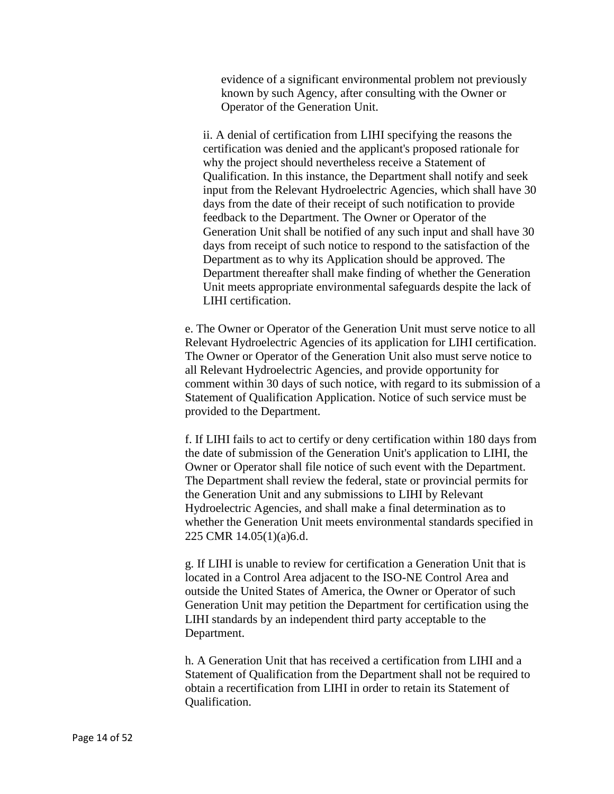evidence of a significant environmental problem not previously known by such Agency, after consulting with the Owner or Operator of the Generation Unit.

ii. A denial of certification from LIHI specifying the reasons the certification was denied and the applicant's proposed rationale for why the project should nevertheless receive a Statement of Qualification. In this instance, the Department shall notify and seek input from the Relevant Hydroelectric Agencies, which shall have 30 days from the date of their receipt of such notification to provide feedback to the Department. The Owner or Operator of the Generation Unit shall be notified of any such input and shall have 30 days from receipt of such notice to respond to the satisfaction of the Department as to why its Application should be approved. The Department thereafter shall make finding of whether the Generation Unit meets appropriate environmental safeguards despite the lack of LIHI certification.

e. The Owner or Operator of the Generation Unit must serve notice to all Relevant Hydroelectric Agencies of its application for LIHI certification. The Owner or Operator of the Generation Unit also must serve notice to all Relevant Hydroelectric Agencies, and provide opportunity for comment within 30 days of such notice, with regard to its submission of a Statement of Qualification Application. Notice of such service must be provided to the Department.

f. If LIHI fails to act to certify or deny certification within 180 days from the date of submission of the Generation Unit's application to LIHI, the Owner or Operator shall file notice of such event with the Department. The Department shall review the federal, state or provincial permits for the Generation Unit and any submissions to LIHI by Relevant Hydroelectric Agencies, and shall make a final determination as to whether the Generation Unit meets environmental standards specified in 225 CMR 14.05(1)(a)6.d.

g. If LIHI is unable to review for certification a Generation Unit that is located in a Control Area adjacent to the ISO-NE Control Area and outside the United States of America, the Owner or Operator of such Generation Unit may petition the Department for certification using the LIHI standards by an independent third party acceptable to the Department.

h. A Generation Unit that has received a certification from LIHI and a Statement of Qualification from the Department shall not be required to obtain a recertification from LIHI in order to retain its Statement of Qualification.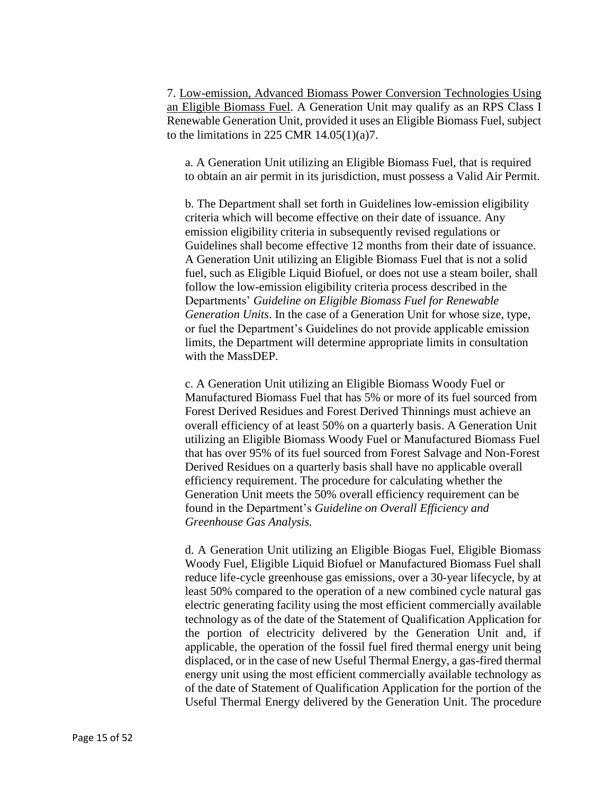7. Low-emission, Advanced Biomass Power Conversion Technologies Using an Eligible Biomass Fuel. A Generation Unit may qualify as an RPS Class I Renewable Generation Unit, provided it uses an Eligible Biomass Fuel, subject to the limitations in 225 CMR  $14.05(1)(a)7$ .

a. A Generation Unit utilizing an Eligible Biomass Fuel, that is required to obtain an air permit in its jurisdiction, must possess a Valid Air Permit.

b. The Department shall set forth in Guidelines low-emission eligibility criteria which will become effective on their date of issuance. Any emission eligibility criteria in subsequently revised regulations or Guidelines shall become effective 12 months from their date of issuance. A Generation Unit utilizing an Eligible Biomass Fuel that is not a solid fuel, such as Eligible Liquid Biofuel, or does not use a steam boiler, shall follow the low-emission eligibility criteria process described in the Departments' *Guideline on Eligible Biomass Fuel for Renewable Generation Units*. In the case of a Generation Unit for whose size, type, or fuel the Department's Guidelines do not provide applicable emission limits, the Department will determine appropriate limits in consultation with the MassDEP.

c. A Generation Unit utilizing an Eligible Biomass Woody Fuel or Manufactured Biomass Fuel that has 5% or more of its fuel sourced from Forest Derived Residues and Forest Derived Thinnings must achieve an overall efficiency of at least 50% on a quarterly basis. A Generation Unit utilizing an Eligible Biomass Woody Fuel or Manufactured Biomass Fuel that has over 95% of its fuel sourced from Forest Salvage and Non-Forest Derived Residues on a quarterly basis shall have no applicable overall efficiency requirement. The procedure for calculating whether the Generation Unit meets the 50% overall efficiency requirement can be found in the Department's *Guideline on Overall Efficiency and Greenhouse Gas Analysis.*

d. A Generation Unit utilizing an Eligible Biogas Fuel, Eligible Biomass Woody Fuel, Eligible Liquid Biofuel or Manufactured Biomass Fuel shall reduce life-cycle greenhouse gas emissions, over a 30-year lifecycle, by at least 50% compared to the operation of a new combined cycle natural gas electric generating facility using the most efficient commercially available technology as of the date of the Statement of Qualification Application for the portion of electricity delivered by the Generation Unit and, if applicable, the operation of the fossil fuel fired thermal energy unit being displaced, or in the case of new Useful Thermal Energy, a gas-fired thermal energy unit using the most efficient commercially available technology as of the date of Statement of Qualification Application for the portion of the Useful Thermal Energy delivered by the Generation Unit. The procedure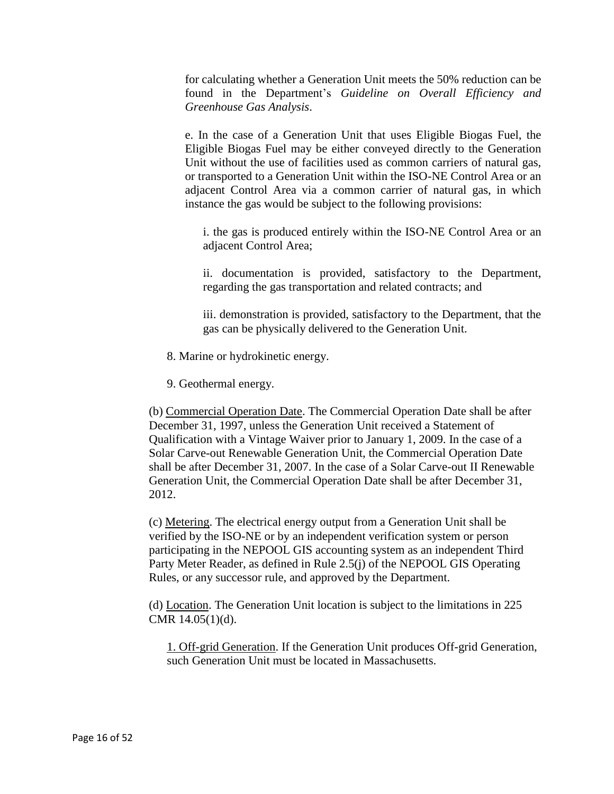for calculating whether a Generation Unit meets the 50% reduction can be found in the Department's *Guideline on Overall Efficiency and Greenhouse Gas Analysis*.

e. In the case of a Generation Unit that uses Eligible Biogas Fuel, the Eligible Biogas Fuel may be either conveyed directly to the Generation Unit without the use of facilities used as common carriers of natural gas, or transported to a Generation Unit within the ISO-NE Control Area or an adjacent Control Area via a common carrier of natural gas, in which instance the gas would be subject to the following provisions:

i. the gas is produced entirely within the ISO-NE Control Area or an adjacent Control Area;

ii. documentation is provided, satisfactory to the Department, regarding the gas transportation and related contracts; and

iii. demonstration is provided, satisfactory to the Department, that the gas can be physically delivered to the Generation Unit.

8. Marine or hydrokinetic energy.

9. Geothermal energy.

(b) Commercial Operation Date. The Commercial Operation Date shall be after December 31, 1997, unless the Generation Unit received a Statement of Qualification with a Vintage Waiver prior to January 1, 2009. In the case of a Solar Carve-out Renewable Generation Unit, the Commercial Operation Date shall be after December 31, 2007. In the case of a Solar Carve-out II Renewable Generation Unit, the Commercial Operation Date shall be after December 31, 2012.

(c) Metering. The electrical energy output from a Generation Unit shall be verified by the ISO-NE or by an independent verification system or person participating in the NEPOOL GIS accounting system as an independent Third Party Meter Reader, as defined in Rule 2.5(j) of the NEPOOL GIS Operating Rules, or any successor rule, and approved by the Department.

(d) Location. The Generation Unit location is subject to the limitations in 225 CMR 14.05(1)(d).

1. Off-grid Generation. If the Generation Unit produces Off-grid Generation, such Generation Unit must be located in Massachusetts.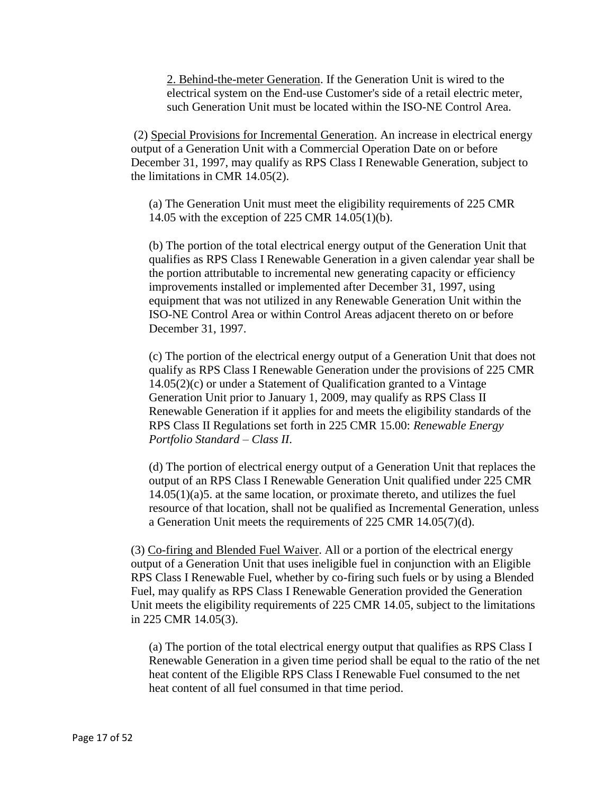2. Behind-the-meter Generation. If the Generation Unit is wired to the electrical system on the End-use Customer's side of a retail electric meter, such Generation Unit must be located within the ISO-NE Control Area.

(2) Special Provisions for Incremental Generation. An increase in electrical energy output of a Generation Unit with a Commercial Operation Date on or before December 31, 1997, may qualify as RPS Class I Renewable Generation, subject to the limitations in CMR 14.05(2).

(a) The Generation Unit must meet the eligibility requirements of 225 CMR 14.05 with the exception of 225 CMR 14.05(1)(b).

(b) The portion of the total electrical energy output of the Generation Unit that qualifies as RPS Class I Renewable Generation in a given calendar year shall be the portion attributable to incremental new generating capacity or efficiency improvements installed or implemented after December 31, 1997, using equipment that was not utilized in any Renewable Generation Unit within the ISO-NE Control Area or within Control Areas adjacent thereto on or before December 31, 1997.

(c) The portion of the electrical energy output of a Generation Unit that does not qualify as RPS Class I Renewable Generation under the provisions of 225 CMR 14.05(2)(c) or under a Statement of Qualification granted to a Vintage Generation Unit prior to January 1, 2009, may qualify as RPS Class II Renewable Generation if it applies for and meets the eligibility standards of the RPS Class II Regulations set forth in 225 CMR 15.00: *Renewable Energy Portfolio Standard – Class II*.

(d) The portion of electrical energy output of a Generation Unit that replaces the output of an RPS Class I Renewable Generation Unit qualified under 225 CMR 14.05(1)(a)5. at the same location, or proximate thereto, and utilizes the fuel resource of that location, shall not be qualified as Incremental Generation, unless a Generation Unit meets the requirements of 225 CMR 14.05(7)(d).

(3) Co-firing and Blended Fuel Waiver. All or a portion of the electrical energy output of a Generation Unit that uses ineligible fuel in conjunction with an Eligible RPS Class I Renewable Fuel, whether by co-firing such fuels or by using a Blended Fuel, may qualify as RPS Class I Renewable Generation provided the Generation Unit meets the eligibility requirements of 225 CMR 14.05, subject to the limitations in 225 CMR 14.05(3).

(a) The portion of the total electrical energy output that qualifies as RPS Class I Renewable Generation in a given time period shall be equal to the ratio of the net heat content of the Eligible RPS Class I Renewable Fuel consumed to the net heat content of all fuel consumed in that time period.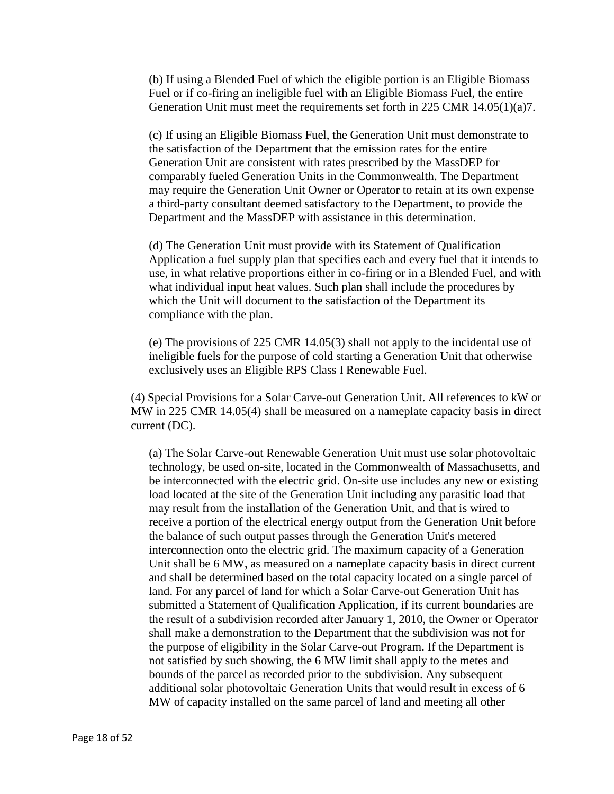(b) If using a Blended Fuel of which the eligible portion is an Eligible Biomass Fuel or if co-firing an ineligible fuel with an Eligible Biomass Fuel, the entire Generation Unit must meet the requirements set forth in 225 CMR 14.05(1)(a)7.

(c) If using an Eligible Biomass Fuel, the Generation Unit must demonstrate to the satisfaction of the Department that the emission rates for the entire Generation Unit are consistent with rates prescribed by the MassDEP for comparably fueled Generation Units in the Commonwealth. The Department may require the Generation Unit Owner or Operator to retain at its own expense a third-party consultant deemed satisfactory to the Department, to provide the Department and the MassDEP with assistance in this determination.

(d) The Generation Unit must provide with its Statement of Qualification Application a fuel supply plan that specifies each and every fuel that it intends to use, in what relative proportions either in co-firing or in a Blended Fuel, and with what individual input heat values. Such plan shall include the procedures by which the Unit will document to the satisfaction of the Department its compliance with the plan.

(e) The provisions of 225 CMR 14.05(3) shall not apply to the incidental use of ineligible fuels for the purpose of cold starting a Generation Unit that otherwise exclusively uses an Eligible RPS Class I Renewable Fuel.

(4) Special Provisions for a Solar Carve-out Generation Unit. All references to kW or MW in 225 CMR 14.05(4) shall be measured on a nameplate capacity basis in direct current (DC).

(a) The Solar Carve-out Renewable Generation Unit must use solar photovoltaic technology, be used on-site, located in the Commonwealth of Massachusetts, and be interconnected with the electric grid. On-site use includes any new or existing load located at the site of the Generation Unit including any parasitic load that may result from the installation of the Generation Unit, and that is wired to receive a portion of the electrical energy output from the Generation Unit before the balance of such output passes through the Generation Unit's metered interconnection onto the electric grid. The maximum capacity of a Generation Unit shall be 6 MW, as measured on a nameplate capacity basis in direct current and shall be determined based on the total capacity located on a single parcel of land. For any parcel of land for which a Solar Carve-out Generation Unit has submitted a Statement of Qualification Application, if its current boundaries are the result of a subdivision recorded after January 1, 2010, the Owner or Operator shall make a demonstration to the Department that the subdivision was not for the purpose of eligibility in the Solar Carve-out Program. If the Department is not satisfied by such showing, the 6 MW limit shall apply to the metes and bounds of the parcel as recorded prior to the subdivision. Any subsequent additional solar photovoltaic Generation Units that would result in excess of 6 MW of capacity installed on the same parcel of land and meeting all other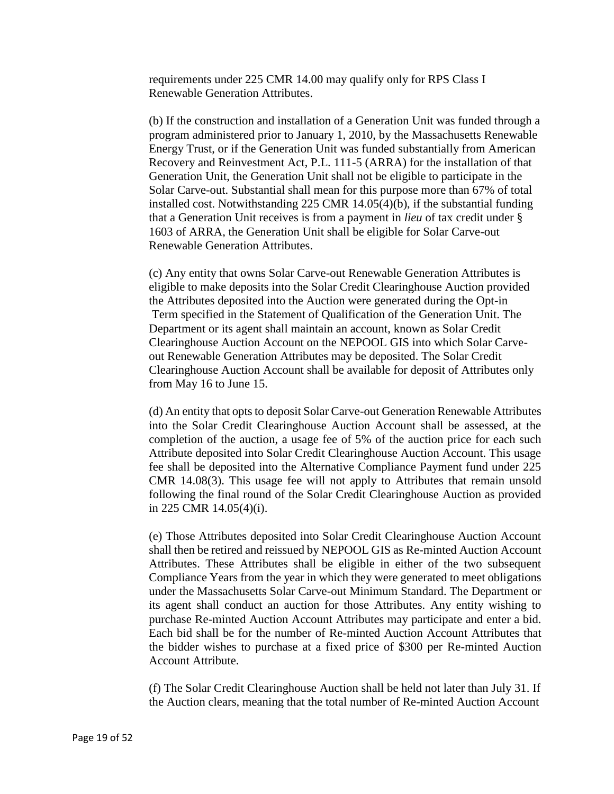requirements under 225 CMR 14.00 may qualify only for RPS Class I Renewable Generation Attributes.

(b) If the construction and installation of a Generation Unit was funded through a program administered prior to January 1, 2010, by the Massachusetts Renewable Energy Trust, or if the Generation Unit was funded substantially from American Recovery and Reinvestment Act, P.L. 111-5 (ARRA) for the installation of that Generation Unit, the Generation Unit shall not be eligible to participate in the Solar Carve-out. Substantial shall mean for this purpose more than 67% of total installed cost. Notwithstanding 225 CMR 14.05(4)(b), if the substantial funding that a Generation Unit receives is from a payment in *lieu* of tax credit under § 1603 of ARRA, the Generation Unit shall be eligible for Solar Carve-out Renewable Generation Attributes.

(c) Any entity that owns Solar Carve-out Renewable Generation Attributes is eligible to make deposits into the Solar Credit Clearinghouse Auction provided the Attributes deposited into the Auction were generated during the Opt-in Term specified in the Statement of Qualification of the Generation Unit. The Department or its agent shall maintain an account, known as Solar Credit Clearinghouse Auction Account on the NEPOOL GIS into which Solar Carveout Renewable Generation Attributes may be deposited. The Solar Credit Clearinghouse Auction Account shall be available for deposit of Attributes only from May 16 to June 15.

(d) An entity that opts to deposit Solar Carve-out Generation Renewable Attributes into the Solar Credit Clearinghouse Auction Account shall be assessed, at the completion of the auction, a usage fee of 5% of the auction price for each such Attribute deposited into Solar Credit Clearinghouse Auction Account. This usage fee shall be deposited into the Alternative Compliance Payment fund under 225 CMR 14.08(3). This usage fee will not apply to Attributes that remain unsold following the final round of the Solar Credit Clearinghouse Auction as provided in 225 CMR 14.05(4)(i).

(e) Those Attributes deposited into Solar Credit Clearinghouse Auction Account shall then be retired and reissued by NEPOOL GIS as Re-minted Auction Account Attributes. These Attributes shall be eligible in either of the two subsequent Compliance Years from the year in which they were generated to meet obligations under the Massachusetts Solar Carve-out Minimum Standard. The Department or its agent shall conduct an auction for those Attributes. Any entity wishing to purchase Re-minted Auction Account Attributes may participate and enter a bid. Each bid shall be for the number of Re-minted Auction Account Attributes that the bidder wishes to purchase at a fixed price of \$300 per Re-minted Auction Account Attribute.

(f) The Solar Credit Clearinghouse Auction shall be held not later than July 31. If the Auction clears, meaning that the total number of Re-minted Auction Account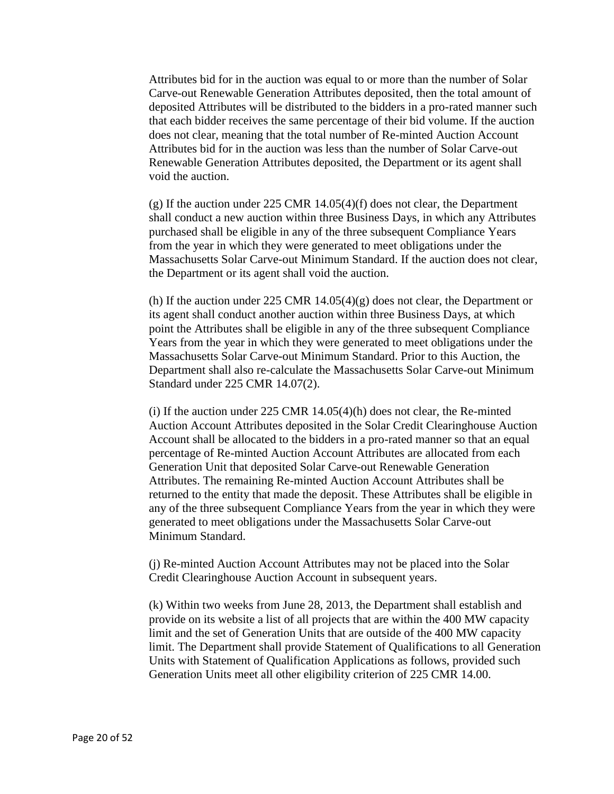Attributes bid for in the auction was equal to or more than the number of Solar Carve-out Renewable Generation Attributes deposited, then the total amount of deposited Attributes will be distributed to the bidders in a pro-rated manner such that each bidder receives the same percentage of their bid volume. If the auction does not clear, meaning that the total number of Re-minted Auction Account Attributes bid for in the auction was less than the number of Solar Carve-out Renewable Generation Attributes deposited, the Department or its agent shall void the auction.

(g) If the auction under 225 CMR 14.05(4)(f) does not clear, the Department shall conduct a new auction within three Business Days, in which any Attributes purchased shall be eligible in any of the three subsequent Compliance Years from the year in which they were generated to meet obligations under the Massachusetts Solar Carve-out Minimum Standard. If the auction does not clear, the Department or its agent shall void the auction.

(h) If the auction under 225 CMR  $14.05(4)(g)$  does not clear, the Department or its agent shall conduct another auction within three Business Days, at which point the Attributes shall be eligible in any of the three subsequent Compliance Years from the year in which they were generated to meet obligations under the Massachusetts Solar Carve-out Minimum Standard. Prior to this Auction, the Department shall also re-calculate the Massachusetts Solar Carve-out Minimum Standard under 225 CMR 14.07(2).

(i) If the auction under 225 CMR 14.05(4)(h) does not clear, the Re-minted Auction Account Attributes deposited in the Solar Credit Clearinghouse Auction Account shall be allocated to the bidders in a pro-rated manner so that an equal percentage of Re-minted Auction Account Attributes are allocated from each Generation Unit that deposited Solar Carve-out Renewable Generation Attributes. The remaining Re-minted Auction Account Attributes shall be returned to the entity that made the deposit. These Attributes shall be eligible in any of the three subsequent Compliance Years from the year in which they were generated to meet obligations under the Massachusetts Solar Carve-out Minimum Standard.

(j) Re-minted Auction Account Attributes may not be placed into the Solar Credit Clearinghouse Auction Account in subsequent years.

(k) Within two weeks from June 28, 2013, the Department shall establish and provide on its website a list of all projects that are within the 400 MW capacity limit and the set of Generation Units that are outside of the 400 MW capacity limit. The Department shall provide Statement of Qualifications to all Generation Units with Statement of Qualification Applications as follows, provided such Generation Units meet all other eligibility criterion of 225 CMR 14.00.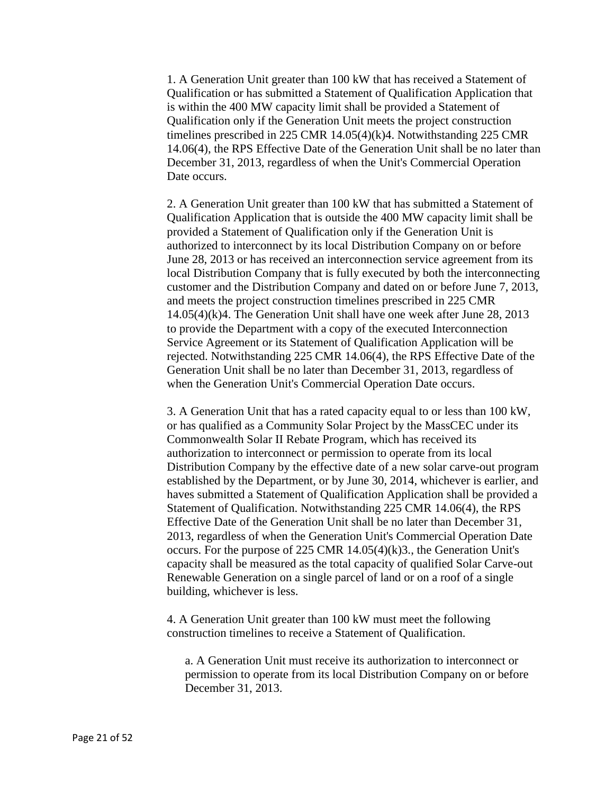1. A Generation Unit greater than 100 kW that has received a Statement of Qualification or has submitted a Statement of Qualification Application that is within the 400 MW capacity limit shall be provided a Statement of Qualification only if the Generation Unit meets the project construction timelines prescribed in 225 CMR 14.05(4)(k)4. Notwithstanding 225 CMR 14.06(4), the RPS Effective Date of the Generation Unit shall be no later than December 31, 2013, regardless of when the Unit's Commercial Operation Date occurs.

2. A Generation Unit greater than 100 kW that has submitted a Statement of Qualification Application that is outside the 400 MW capacity limit shall be provided a Statement of Qualification only if the Generation Unit is authorized to interconnect by its local Distribution Company on or before June 28, 2013 or has received an interconnection service agreement from its local Distribution Company that is fully executed by both the interconnecting customer and the Distribution Company and dated on or before June 7, 2013, and meets the project construction timelines prescribed in 225 CMR 14.05(4)(k)4. The Generation Unit shall have one week after June 28, 2013 to provide the Department with a copy of the executed Interconnection Service Agreement or its Statement of Qualification Application will be rejected. Notwithstanding 225 CMR 14.06(4), the RPS Effective Date of the Generation Unit shall be no later than December 31, 2013, regardless of when the Generation Unit's Commercial Operation Date occurs.

3. A Generation Unit that has a rated capacity equal to or less than 100 kW, or has qualified as a Community Solar Project by the MassCEC under its Commonwealth Solar II Rebate Program, which has received its authorization to interconnect or permission to operate from its local Distribution Company by the effective date of a new solar carve-out program established by the Department, or by June 30, 2014, whichever is earlier, and haves submitted a Statement of Qualification Application shall be provided a Statement of Qualification. Notwithstanding 225 CMR 14.06(4), the RPS Effective Date of the Generation Unit shall be no later than December 31, 2013, regardless of when the Generation Unit's Commercial Operation Date occurs. For the purpose of 225 CMR 14.05(4)(k)3., the Generation Unit's capacity shall be measured as the total capacity of qualified Solar Carve-out Renewable Generation on a single parcel of land or on a roof of a single building, whichever is less.

4. A Generation Unit greater than 100 kW must meet the following construction timelines to receive a Statement of Qualification.

a. A Generation Unit must receive its authorization to interconnect or permission to operate from its local Distribution Company on or before December 31, 2013.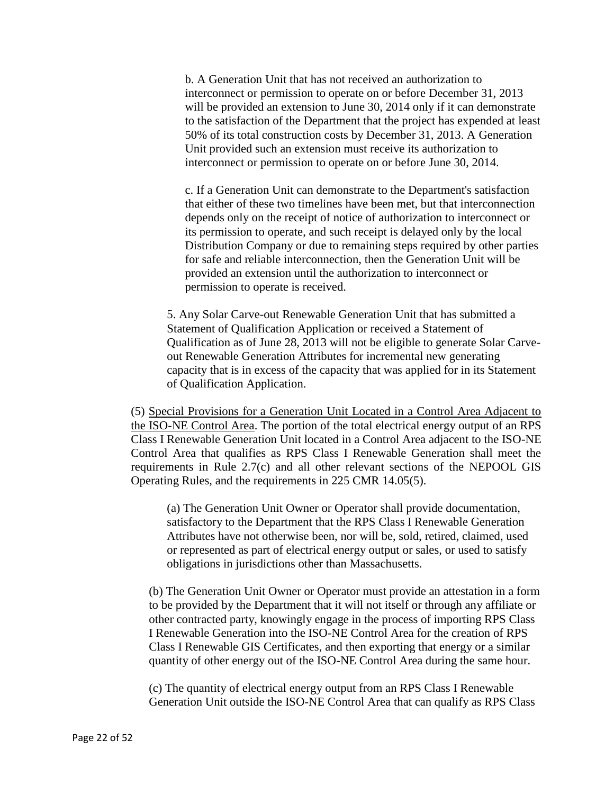b. A Generation Unit that has not received an authorization to interconnect or permission to operate on or before December 31, 2013 will be provided an extension to June 30, 2014 only if it can demonstrate to the satisfaction of the Department that the project has expended at least 50% of its total construction costs by December 31, 2013. A Generation Unit provided such an extension must receive its authorization to interconnect or permission to operate on or before June 30, 2014.

c. If a Generation Unit can demonstrate to the Department's satisfaction that either of these two timelines have been met, but that interconnection depends only on the receipt of notice of authorization to interconnect or its permission to operate, and such receipt is delayed only by the local Distribution Company or due to remaining steps required by other parties for safe and reliable interconnection, then the Generation Unit will be provided an extension until the authorization to interconnect or permission to operate is received.

5. Any Solar Carve-out Renewable Generation Unit that has submitted a Statement of Qualification Application or received a Statement of Qualification as of June 28, 2013 will not be eligible to generate Solar Carveout Renewable Generation Attributes for incremental new generating capacity that is in excess of the capacity that was applied for in its Statement of Qualification Application.

(5) Special Provisions for a Generation Unit Located in a Control Area Adjacent to the ISO-NE Control Area. The portion of the total electrical energy output of an RPS Class I Renewable Generation Unit located in a Control Area adjacent to the ISO-NE Control Area that qualifies as RPS Class I Renewable Generation shall meet the requirements in Rule 2.7(c) and all other relevant sections of the NEPOOL GIS Operating Rules, and the requirements in 225 CMR 14.05(5).

(a) The Generation Unit Owner or Operator shall provide documentation, satisfactory to the Department that the RPS Class I Renewable Generation Attributes have not otherwise been, nor will be, sold, retired, claimed, used or represented as part of electrical energy output or sales, or used to satisfy obligations in jurisdictions other than Massachusetts.

(b) The Generation Unit Owner or Operator must provide an attestation in a form to be provided by the Department that it will not itself or through any affiliate or other contracted party, knowingly engage in the process of importing RPS Class I Renewable Generation into the ISO-NE Control Area for the creation of RPS Class I Renewable GIS Certificates, and then exporting that energy or a similar quantity of other energy out of the ISO-NE Control Area during the same hour.

(c) The quantity of electrical energy output from an RPS Class I Renewable Generation Unit outside the ISO-NE Control Area that can qualify as RPS Class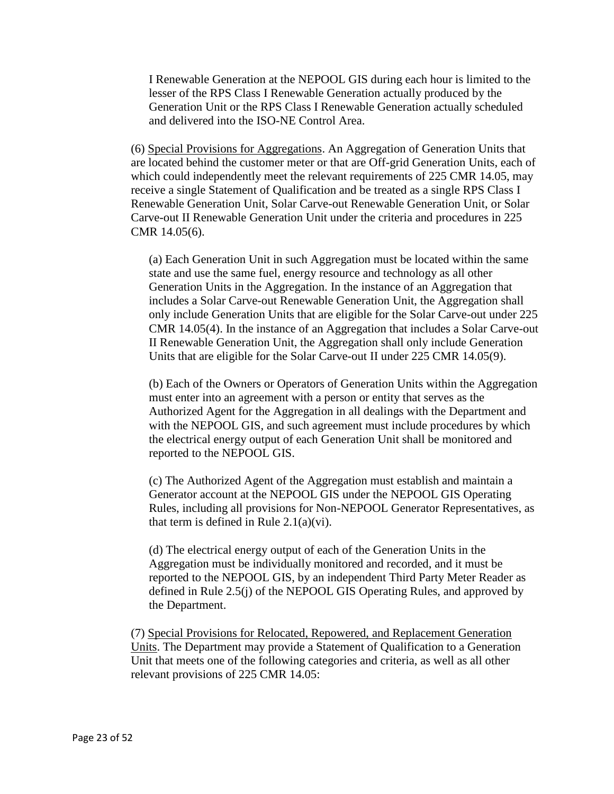I Renewable Generation at the NEPOOL GIS during each hour is limited to the lesser of the RPS Class I Renewable Generation actually produced by the Generation Unit or the RPS Class I Renewable Generation actually scheduled and delivered into the ISO-NE Control Area.

(6) Special Provisions for Aggregations. An Aggregation of Generation Units that are located behind the customer meter or that are Off-grid Generation Units, each of which could independently meet the relevant requirements of 225 CMR 14.05, may receive a single Statement of Qualification and be treated as a single RPS Class I Renewable Generation Unit, Solar Carve-out Renewable Generation Unit, or Solar Carve-out II Renewable Generation Unit under the criteria and procedures in 225 CMR 14.05(6).

(a) Each Generation Unit in such Aggregation must be located within the same state and use the same fuel, energy resource and technology as all other Generation Units in the Aggregation. In the instance of an Aggregation that includes a Solar Carve-out Renewable Generation Unit, the Aggregation shall only include Generation Units that are eligible for the Solar Carve-out under 225 CMR 14.05(4). In the instance of an Aggregation that includes a Solar Carve-out II Renewable Generation Unit, the Aggregation shall only include Generation Units that are eligible for the Solar Carve-out II under 225 CMR 14.05(9).

(b) Each of the Owners or Operators of Generation Units within the Aggregation must enter into an agreement with a person or entity that serves as the Authorized Agent for the Aggregation in all dealings with the Department and with the NEPOOL GIS, and such agreement must include procedures by which the electrical energy output of each Generation Unit shall be monitored and reported to the NEPOOL GIS.

(c) The Authorized Agent of the Aggregation must establish and maintain a Generator account at the NEPOOL GIS under the NEPOOL GIS Operating Rules, including all provisions for Non-NEPOOL Generator Representatives, as that term is defined in Rule  $2.1(a)(vi)$ .

(d) The electrical energy output of each of the Generation Units in the Aggregation must be individually monitored and recorded, and it must be reported to the NEPOOL GIS, by an independent Third Party Meter Reader as defined in Rule 2.5(j) of the NEPOOL GIS Operating Rules, and approved by the Department.

(7) Special Provisions for Relocated, Repowered, and Replacement Generation Units. The Department may provide a Statement of Qualification to a Generation Unit that meets one of the following categories and criteria, as well as all other relevant provisions of 225 CMR 14.05: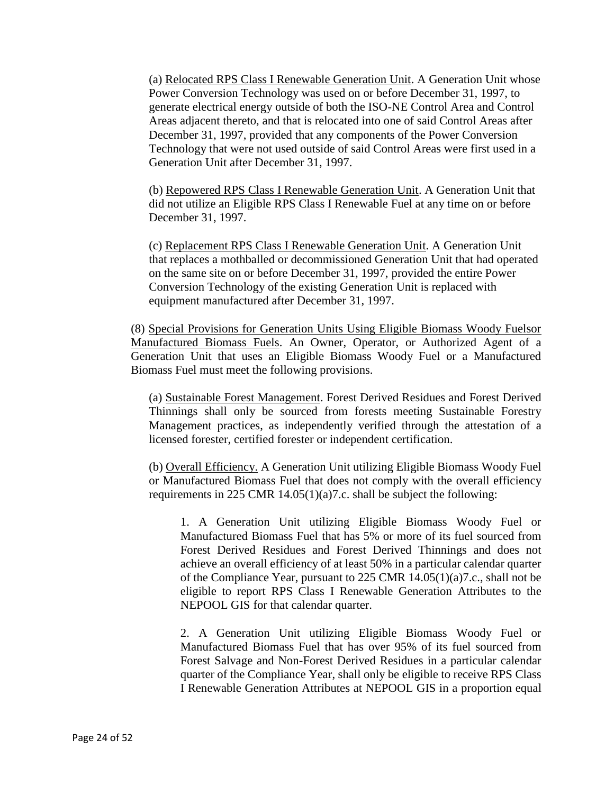(a) Relocated RPS Class I Renewable Generation Unit. A Generation Unit whose Power Conversion Technology was used on or before December 31, 1997, to generate electrical energy outside of both the ISO-NE Control Area and Control Areas adjacent thereto, and that is relocated into one of said Control Areas after December 31, 1997, provided that any components of the Power Conversion Technology that were not used outside of said Control Areas were first used in a Generation Unit after December 31, 1997.

(b) Repowered RPS Class I Renewable Generation Unit. A Generation Unit that did not utilize an Eligible RPS Class I Renewable Fuel at any time on or before December 31, 1997.

(c) Replacement RPS Class I Renewable Generation Unit. A Generation Unit that replaces a mothballed or decommissioned Generation Unit that had operated on the same site on or before December 31, 1997, provided the entire Power Conversion Technology of the existing Generation Unit is replaced with equipment manufactured after December 31, 1997.

(8) Special Provisions for Generation Units Using Eligible Biomass Woody Fuelsor Manufactured Biomass Fuels. An Owner, Operator, or Authorized Agent of a Generation Unit that uses an Eligible Biomass Woody Fuel or a Manufactured Biomass Fuel must meet the following provisions.

(a) Sustainable Forest Management. Forest Derived Residues and Forest Derived Thinnings shall only be sourced from forests meeting Sustainable Forestry Management practices, as independently verified through the attestation of a licensed forester, certified forester or independent certification.

(b) Overall Efficiency. A Generation Unit utilizing Eligible Biomass Woody Fuel or Manufactured Biomass Fuel that does not comply with the overall efficiency requirements in 225 CMR 14.05(1)(a)7.c. shall be subject the following:

1. A Generation Unit utilizing Eligible Biomass Woody Fuel or Manufactured Biomass Fuel that has 5% or more of its fuel sourced from Forest Derived Residues and Forest Derived Thinnings and does not achieve an overall efficiency of at least 50% in a particular calendar quarter of the Compliance Year, pursuant to 225 CMR 14.05(1)(a)7.c., shall not be eligible to report RPS Class I Renewable Generation Attributes to the NEPOOL GIS for that calendar quarter.

2. A Generation Unit utilizing Eligible Biomass Woody Fuel or Manufactured Biomass Fuel that has over 95% of its fuel sourced from Forest Salvage and Non-Forest Derived Residues in a particular calendar quarter of the Compliance Year, shall only be eligible to receive RPS Class I Renewable Generation Attributes at NEPOOL GIS in a proportion equal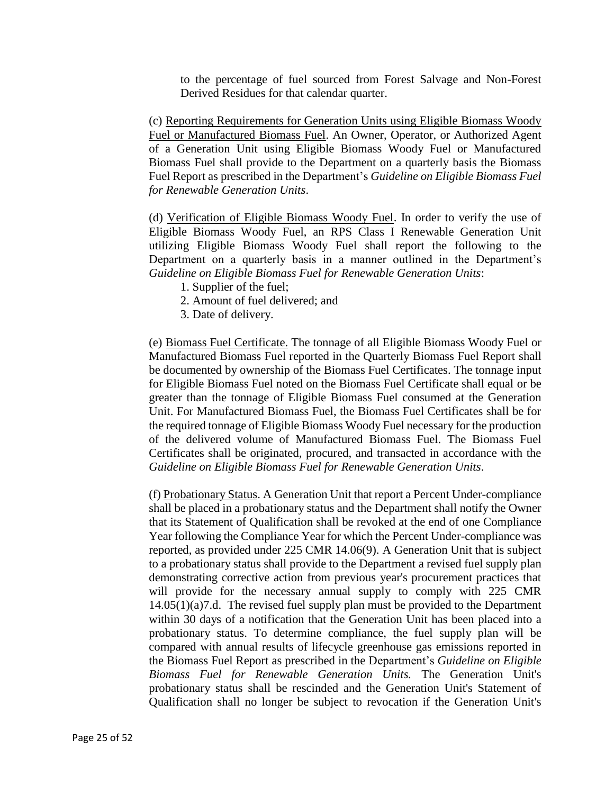to the percentage of fuel sourced from Forest Salvage and Non-Forest Derived Residues for that calendar quarter.

(c) Reporting Requirements for Generation Units using Eligible Biomass Woody Fuel or Manufactured Biomass Fuel. An Owner, Operator, or Authorized Agent of a Generation Unit using Eligible Biomass Woody Fuel or Manufactured Biomass Fuel shall provide to the Department on a quarterly basis the Biomass Fuel Report as prescribed in the Department's *Guideline on Eligible Biomass Fuel for Renewable Generation Units*.

(d) Verification of Eligible Biomass Woody Fuel. In order to verify the use of Eligible Biomass Woody Fuel, an RPS Class I Renewable Generation Unit utilizing Eligible Biomass Woody Fuel shall report the following to the Department on a quarterly basis in a manner outlined in the Department's *Guideline on Eligible Biomass Fuel for Renewable Generation Units*:

- 1. Supplier of the fuel;
- 2. Amount of fuel delivered; and
- 3. Date of delivery.

(e) Biomass Fuel Certificate. The tonnage of all Eligible Biomass Woody Fuel or Manufactured Biomass Fuel reported in the Quarterly Biomass Fuel Report shall be documented by ownership of the Biomass Fuel Certificates. The tonnage input for Eligible Biomass Fuel noted on the Biomass Fuel Certificate shall equal or be greater than the tonnage of Eligible Biomass Fuel consumed at the Generation Unit. For Manufactured Biomass Fuel, the Biomass Fuel Certificates shall be for the required tonnage of Eligible Biomass Woody Fuel necessary for the production of the delivered volume of Manufactured Biomass Fuel. The Biomass Fuel Certificates shall be originated, procured, and transacted in accordance with the *Guideline on Eligible Biomass Fuel for Renewable Generation Units*.

(f) Probationary Status. A Generation Unit that report a Percent Under-compliance shall be placed in a probationary status and the Department shall notify the Owner that its Statement of Qualification shall be revoked at the end of one Compliance Year following the Compliance Year for which the Percent Under-compliance was reported, as provided under 225 CMR 14.06(9). A Generation Unit that is subject to a probationary status shall provide to the Department a revised fuel supply plan demonstrating corrective action from previous year's procurement practices that will provide for the necessary annual supply to comply with 225 CMR 14.05(1)(a)7.d. The revised fuel supply plan must be provided to the Department within 30 days of a notification that the Generation Unit has been placed into a probationary status. To determine compliance, the fuel supply plan will be compared with annual results of lifecycle greenhouse gas emissions reported in the Biomass Fuel Report as prescribed in the Department's *Guideline on Eligible Biomass Fuel for Renewable Generation Units.* The Generation Unit's probationary status shall be rescinded and the Generation Unit's Statement of Qualification shall no longer be subject to revocation if the Generation Unit's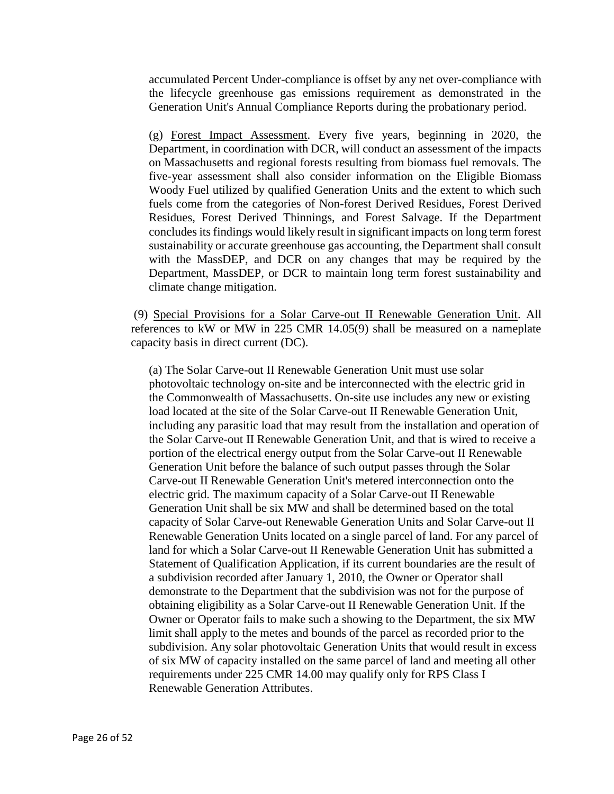accumulated Percent Under-compliance is offset by any net over-compliance with the lifecycle greenhouse gas emissions requirement as demonstrated in the Generation Unit's Annual Compliance Reports during the probationary period.

(g) Forest Impact Assessment. Every five years, beginning in 2020, the Department, in coordination with DCR, will conduct an assessment of the impacts on Massachusetts and regional forests resulting from biomass fuel removals. The five-year assessment shall also consider information on the Eligible Biomass Woody Fuel utilized by qualified Generation Units and the extent to which such fuels come from the categories of Non-forest Derived Residues, Forest Derived Residues, Forest Derived Thinnings, and Forest Salvage. If the Department concludes its findings would likely result in significant impacts on long term forest sustainability or accurate greenhouse gas accounting, the Department shall consult with the MassDEP, and DCR on any changes that may be required by the Department, MassDEP, or DCR to maintain long term forest sustainability and climate change mitigation.

(9) Special Provisions for a Solar Carve-out II Renewable Generation Unit. All references to kW or MW in 225 CMR 14.05(9) shall be measured on a nameplate capacity basis in direct current (DC).

(a) The Solar Carve-out II Renewable Generation Unit must use solar photovoltaic technology on-site and be interconnected with the electric grid in the Commonwealth of Massachusetts. On-site use includes any new or existing load located at the site of the Solar Carve-out II Renewable Generation Unit, including any parasitic load that may result from the installation and operation of the Solar Carve-out II Renewable Generation Unit, and that is wired to receive a portion of the electrical energy output from the Solar Carve-out II Renewable Generation Unit before the balance of such output passes through the Solar Carve-out II Renewable Generation Unit's metered interconnection onto the electric grid. The maximum capacity of a Solar Carve-out II Renewable Generation Unit shall be six MW and shall be determined based on the total capacity of Solar Carve-out Renewable Generation Units and Solar Carve-out II Renewable Generation Units located on a single parcel of land. For any parcel of land for which a Solar Carve-out II Renewable Generation Unit has submitted a Statement of Qualification Application, if its current boundaries are the result of a subdivision recorded after January 1, 2010, the Owner or Operator shall demonstrate to the Department that the subdivision was not for the purpose of obtaining eligibility as a Solar Carve-out II Renewable Generation Unit. If the Owner or Operator fails to make such a showing to the Department, the six MW limit shall apply to the metes and bounds of the parcel as recorded prior to the subdivision. Any solar photovoltaic Generation Units that would result in excess of six MW of capacity installed on the same parcel of land and meeting all other requirements under 225 CMR 14.00 may qualify only for RPS Class I Renewable Generation Attributes.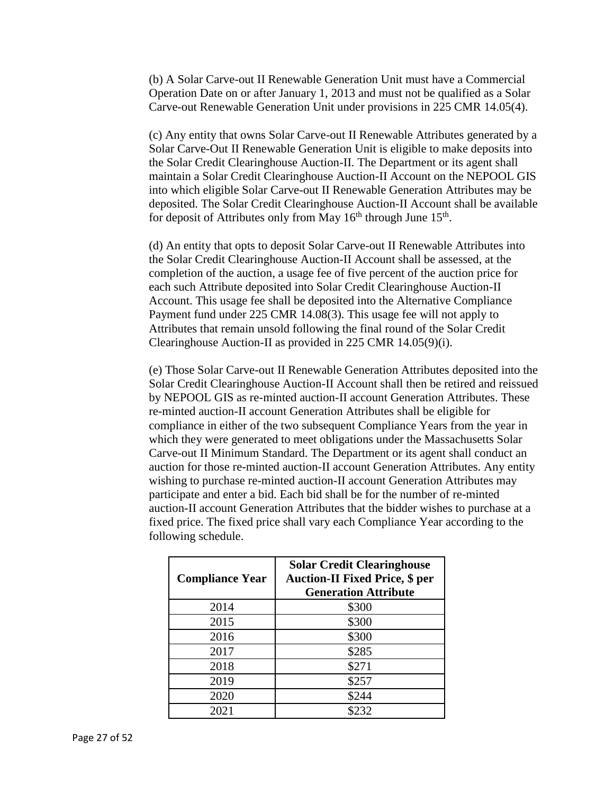(b) A Solar Carve-out II Renewable Generation Unit must have a Commercial Operation Date on or after January 1, 2013 and must not be qualified as a Solar Carve-out Renewable Generation Unit under provisions in 225 CMR 14.05(4).

(c) Any entity that owns Solar Carve-out II Renewable Attributes generated by a Solar Carve-Out II Renewable Generation Unit is eligible to make deposits into the Solar Credit Clearinghouse Auction-II. The Department or its agent shall maintain a Solar Credit Clearinghouse Auction-II Account on the NEPOOL GIS into which eligible Solar Carve-out II Renewable Generation Attributes may be deposited. The Solar Credit Clearinghouse Auction-II Account shall be available for deposit of Attributes only from May 16<sup>th</sup> through June 15<sup>th</sup>.

(d) An entity that opts to deposit Solar Carve-out II Renewable Attributes into the Solar Credit Clearinghouse Auction-II Account shall be assessed, at the completion of the auction, a usage fee of five percent of the auction price for each such Attribute deposited into Solar Credit Clearinghouse Auction-II Account. This usage fee shall be deposited into the Alternative Compliance Payment fund under 225 CMR 14.08(3). This usage fee will not apply to Attributes that remain unsold following the final round of the Solar Credit Clearinghouse Auction-II as provided in 225 CMR 14.05(9)(i).

(e) Those Solar Carve-out II Renewable Generation Attributes deposited into the Solar Credit Clearinghouse Auction-II Account shall then be retired and reissued by NEPOOL GIS as re-minted auction-II account Generation Attributes. These re-minted auction-II account Generation Attributes shall be eligible for compliance in either of the two subsequent Compliance Years from the year in which they were generated to meet obligations under the Massachusetts Solar Carve-out II Minimum Standard. The Department or its agent shall conduct an auction for those re-minted auction-II account Generation Attributes. Any entity wishing to purchase re-minted auction-II account Generation Attributes may participate and enter a bid. Each bid shall be for the number of re-minted auction-II account Generation Attributes that the bidder wishes to purchase at a fixed price. The fixed price shall vary each Compliance Year according to the following schedule.

| <b>Compliance Year</b> | <b>Solar Credit Clearinghouse</b><br><b>Auction-II Fixed Price, \$ per</b><br><b>Generation Attribute</b> |
|------------------------|-----------------------------------------------------------------------------------------------------------|
| 2014                   | \$300                                                                                                     |
| 2015                   | \$300                                                                                                     |
| 2016                   | \$300                                                                                                     |
| 2017                   | \$285                                                                                                     |
| 2018                   | \$271                                                                                                     |
| 2019                   | \$257                                                                                                     |
| 2020                   | \$244                                                                                                     |
| 2021                   | \$232                                                                                                     |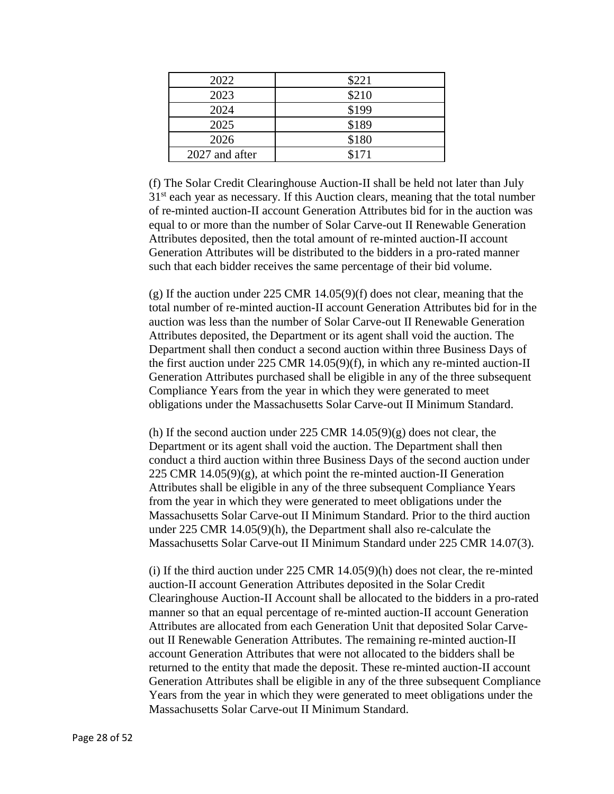| 2022           | \$221 |
|----------------|-------|
| 2023           | \$210 |
| 2024           | \$199 |
| 2025           | \$189 |
| 2026           | \$180 |
| 2027 and after | \$171 |

(f) The Solar Credit Clearinghouse Auction-II shall be held not later than July  $31<sup>st</sup>$  each year as necessary. If this Auction clears, meaning that the total number of re-minted auction-II account Generation Attributes bid for in the auction was equal to or more than the number of Solar Carve-out II Renewable Generation Attributes deposited, then the total amount of re-minted auction-II account Generation Attributes will be distributed to the bidders in a pro-rated manner such that each bidder receives the same percentage of their bid volume.

(g) If the auction under 225 CMR 14.05(9)(f) does not clear, meaning that the total number of re-minted auction-II account Generation Attributes bid for in the auction was less than the number of Solar Carve-out II Renewable Generation Attributes deposited, the Department or its agent shall void the auction. The Department shall then conduct a second auction within three Business Days of the first auction under 225 CMR 14.05(9)(f), in which any re-minted auction-II Generation Attributes purchased shall be eligible in any of the three subsequent Compliance Years from the year in which they were generated to meet obligations under the Massachusetts Solar Carve-out II Minimum Standard.

(h) If the second auction under  $225$  CMR  $14.05(9)(g)$  does not clear, the Department or its agent shall void the auction. The Department shall then conduct a third auction within three Business Days of the second auction under 225 CMR  $14.05(9)(g)$ , at which point the re-minted auction-II Generation Attributes shall be eligible in any of the three subsequent Compliance Years from the year in which they were generated to meet obligations under the Massachusetts Solar Carve-out II Minimum Standard. Prior to the third auction under 225 CMR 14.05(9)(h), the Department shall also re-calculate the Massachusetts Solar Carve-out II Minimum Standard under 225 CMR 14.07(3).

(i) If the third auction under 225 CMR 14.05(9)(h) does not clear, the re-minted auction-II account Generation Attributes deposited in the Solar Credit Clearinghouse Auction-II Account shall be allocated to the bidders in a pro-rated manner so that an equal percentage of re-minted auction-II account Generation Attributes are allocated from each Generation Unit that deposited Solar Carveout II Renewable Generation Attributes. The remaining re-minted auction-II account Generation Attributes that were not allocated to the bidders shall be returned to the entity that made the deposit. These re-minted auction-II account Generation Attributes shall be eligible in any of the three subsequent Compliance Years from the year in which they were generated to meet obligations under the Massachusetts Solar Carve-out II Minimum Standard.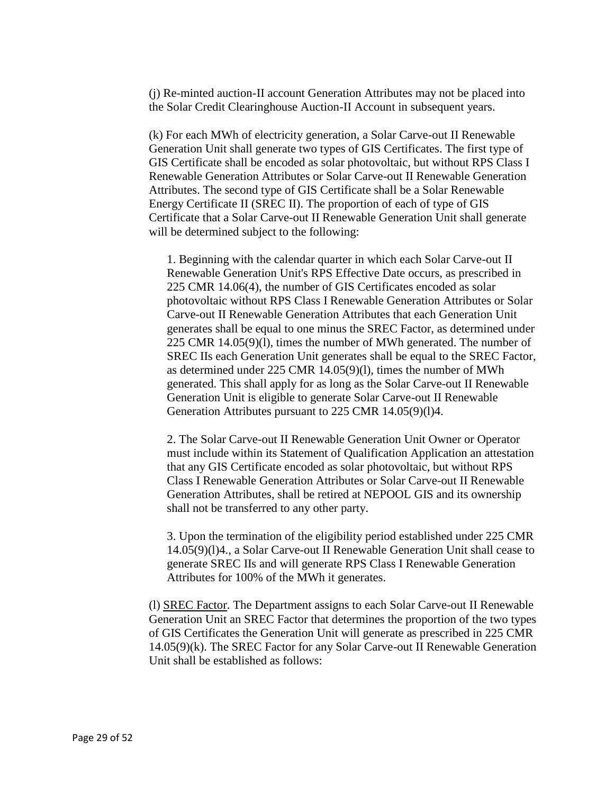(j) Re-minted auction-II account Generation Attributes may not be placed into the Solar Credit Clearinghouse Auction-II Account in subsequent years.

(k) For each MWh of electricity generation, a Solar Carve-out II Renewable Generation Unit shall generate two types of GIS Certificates. The first type of GIS Certificate shall be encoded as solar photovoltaic, but without RPS Class I Renewable Generation Attributes or Solar Carve-out II Renewable Generation Attributes. The second type of GIS Certificate shall be a Solar Renewable Energy Certificate II (SREC II). The proportion of each of type of GIS Certificate that a Solar Carve-out II Renewable Generation Unit shall generate will be determined subject to the following:

1. Beginning with the calendar quarter in which each Solar Carve-out II Renewable Generation Unit's RPS Effective Date occurs, as prescribed in 225 CMR 14.06(4), the number of GIS Certificates encoded as solar photovoltaic without RPS Class I Renewable Generation Attributes or Solar Carve-out II Renewable Generation Attributes that each Generation Unit generates shall be equal to one minus the SREC Factor, as determined under 225 CMR 14.05(9)(l), times the number of MWh generated. The number of SREC IIs each Generation Unit generates shall be equal to the SREC Factor, as determined under 225 CMR 14.05(9)(l), times the number of MWh generated. This shall apply for as long as the Solar Carve-out II Renewable Generation Unit is eligible to generate Solar Carve-out II Renewable Generation Attributes pursuant to 225 CMR 14.05(9)(l)4.

2. The Solar Carve-out II Renewable Generation Unit Owner or Operator must include within its Statement of Qualification Application an attestation that any GIS Certificate encoded as solar photovoltaic, but without RPS Class I Renewable Generation Attributes or Solar Carve-out II Renewable Generation Attributes, shall be retired at NEPOOL GIS and its ownership shall not be transferred to any other party.

3. Upon the termination of the eligibility period established under 225 CMR 14.05(9)(l)4., a Solar Carve-out II Renewable Generation Unit shall cease to generate SREC IIs and will generate RPS Class I Renewable Generation Attributes for 100% of the MWh it generates.

(l) SREC Factor. The Department assigns to each Solar Carve-out II Renewable Generation Unit an SREC Factor that determines the proportion of the two types of GIS Certificates the Generation Unit will generate as prescribed in 225 CMR 14.05(9)(k). The SREC Factor for any Solar Carve-out II Renewable Generation Unit shall be established as follows: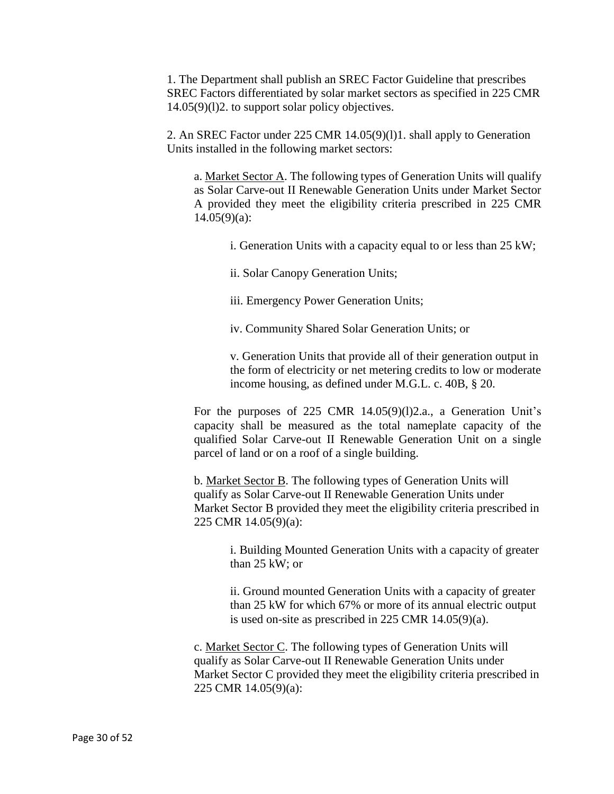1. The Department shall publish an SREC Factor Guideline that prescribes SREC Factors differentiated by solar market sectors as specified in 225 CMR 14.05(9)(l)2. to support solar policy objectives.

2. An SREC Factor under 225 CMR 14.05(9)(l)1. shall apply to Generation Units installed in the following market sectors:

a. Market Sector A. The following types of Generation Units will qualify as Solar Carve-out II Renewable Generation Units under Market Sector A provided they meet the eligibility criteria prescribed in 225 CMR  $14.05(9)(a)$ :

- i. Generation Units with a capacity equal to or less than 25 kW;
- ii. Solar Canopy Generation Units;
- iii. Emergency Power Generation Units;
- iv. Community Shared Solar Generation Units; or

v. Generation Units that provide all of their generation output in the form of electricity or net metering credits to low or moderate income housing, as defined under M.G.L. c. 40B, § 20.

For the purposes of 225 CMR 14.05(9)(l)2.a., a Generation Unit's capacity shall be measured as the total nameplate capacity of the qualified Solar Carve-out II Renewable Generation Unit on a single parcel of land or on a roof of a single building.

b. Market Sector B. The following types of Generation Units will qualify as Solar Carve-out II Renewable Generation Units under Market Sector B provided they meet the eligibility criteria prescribed in 225 CMR 14.05(9)(a):

i. Building Mounted Generation Units with a capacity of greater than 25 kW; or

ii. Ground mounted Generation Units with a capacity of greater than 25 kW for which 67% or more of its annual electric output is used on-site as prescribed in 225 CMR 14.05(9)(a).

c. Market Sector C. The following types of Generation Units will qualify as Solar Carve-out II Renewable Generation Units under Market Sector C provided they meet the eligibility criteria prescribed in 225 CMR 14.05(9)(a):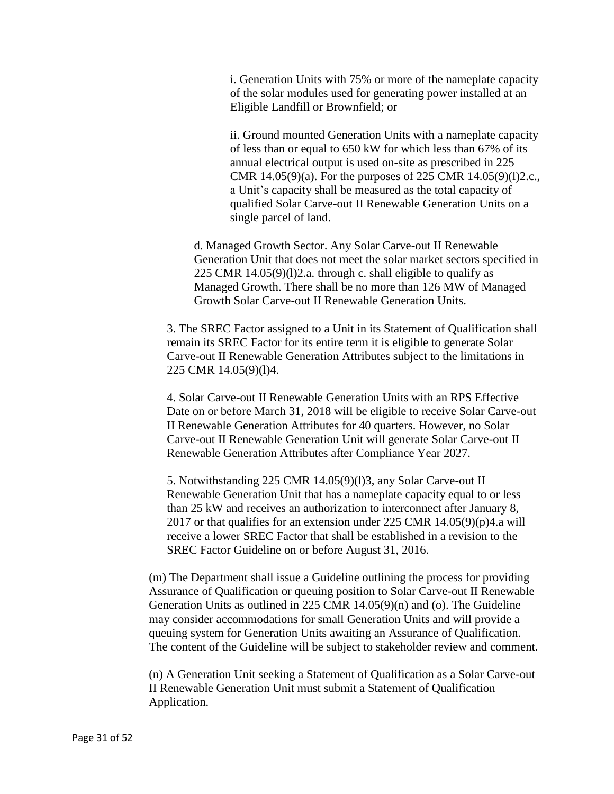i. Generation Units with 75% or more of the nameplate capacity of the solar modules used for generating power installed at an Eligible Landfill or Brownfield; or

ii. Ground mounted Generation Units with a nameplate capacity of less than or equal to 650 kW for which less than 67% of its annual electrical output is used on-site as prescribed in 225 CMR 14.05(9)(a). For the purposes of 225 CMR 14.05(9)(l)2.c., a Unit's capacity shall be measured as the total capacity of qualified Solar Carve-out II Renewable Generation Units on a single parcel of land.

d. Managed Growth Sector. Any Solar Carve-out II Renewable Generation Unit that does not meet the solar market sectors specified in 225 CMR  $14.05(9)(1)$ 2.a. through c. shall eligible to qualify as Managed Growth. There shall be no more than 126 MW of Managed Growth Solar Carve-out II Renewable Generation Units.

3. The SREC Factor assigned to a Unit in its Statement of Qualification shall remain its SREC Factor for its entire term it is eligible to generate Solar Carve-out II Renewable Generation Attributes subject to the limitations in 225 CMR 14.05(9)(l)4.

4. Solar Carve-out II Renewable Generation Units with an RPS Effective Date on or before March 31, 2018 will be eligible to receive Solar Carve-out II Renewable Generation Attributes for 40 quarters. However, no Solar Carve-out II Renewable Generation Unit will generate Solar Carve-out II Renewable Generation Attributes after Compliance Year 2027.

5. Notwithstanding 225 CMR 14.05(9)(l)3, any Solar Carve-out II Renewable Generation Unit that has a nameplate capacity equal to or less than 25 kW and receives an authorization to interconnect after January 8, 2017 or that qualifies for an extension under 225 CMR  $14.05(9)(p)4.a$  will receive a lower SREC Factor that shall be established in a revision to the SREC Factor Guideline on or before August 31, 2016.

(m) The Department shall issue a Guideline outlining the process for providing Assurance of Qualification or queuing position to Solar Carve-out II Renewable Generation Units as outlined in 225 CMR 14.05(9)(n) and (o). The Guideline may consider accommodations for small Generation Units and will provide a queuing system for Generation Units awaiting an Assurance of Qualification. The content of the Guideline will be subject to stakeholder review and comment.

(n) A Generation Unit seeking a Statement of Qualification as a Solar Carve-out II Renewable Generation Unit must submit a Statement of Qualification Application.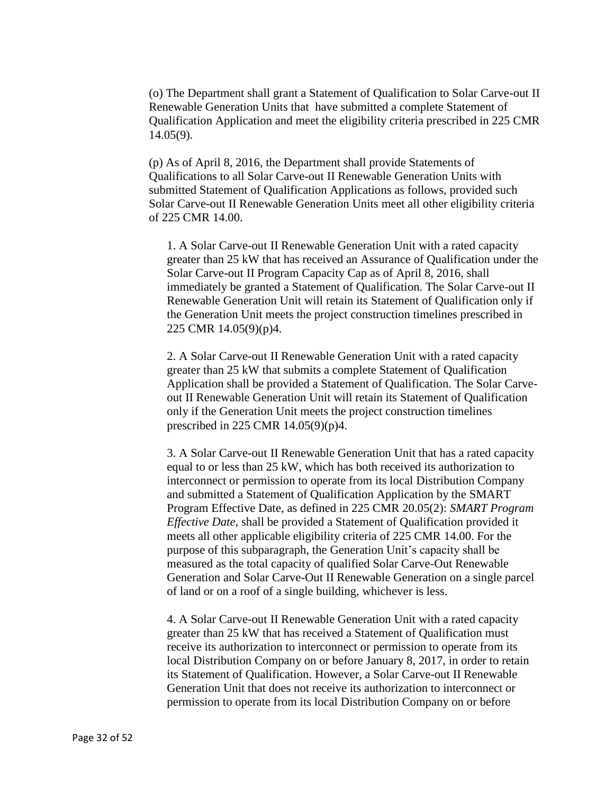(o) The Department shall grant a Statement of Qualification to Solar Carve-out II Renewable Generation Units that have submitted a complete Statement of Qualification Application and meet the eligibility criteria prescribed in 225 CMR 14.05(9).

(p) As of April 8, 2016, the Department shall provide Statements of Qualifications to all Solar Carve-out II Renewable Generation Units with submitted Statement of Qualification Applications as follows, provided such Solar Carve-out II Renewable Generation Units meet all other eligibility criteria of 225 CMR 14.00.

1. A Solar Carve-out II Renewable Generation Unit with a rated capacity greater than 25 kW that has received an Assurance of Qualification under the Solar Carve-out II Program Capacity Cap as of April 8, 2016, shall immediately be granted a Statement of Qualification. The Solar Carve-out II Renewable Generation Unit will retain its Statement of Qualification only if the Generation Unit meets the project construction timelines prescribed in 225 CMR 14.05(9)(p)4.

2. A Solar Carve-out II Renewable Generation Unit with a rated capacity greater than 25 kW that submits a complete Statement of Qualification Application shall be provided a Statement of Qualification. The Solar Carveout II Renewable Generation Unit will retain its Statement of Qualification only if the Generation Unit meets the project construction timelines prescribed in 225 CMR 14.05(9)(p)4.

3. A Solar Carve-out II Renewable Generation Unit that has a rated capacity equal to or less than 25 kW, which has both received its authorization to interconnect or permission to operate from its local Distribution Company and submitted a Statement of Qualification Application by the SMART Program Effective Date, as defined in 225 CMR 20.05(2): *SMART Program Effective Date*, shall be provided a Statement of Qualification provided it meets all other applicable eligibility criteria of 225 CMR 14.00. For the purpose of this subparagraph, the Generation Unit's capacity shall be measured as the total capacity of qualified Solar Carve-Out Renewable Generation and Solar Carve-Out II Renewable Generation on a single parcel of land or on a roof of a single building, whichever is less.

4. A Solar Carve-out II Renewable Generation Unit with a rated capacity greater than 25 kW that has received a Statement of Qualification must receive its authorization to interconnect or permission to operate from its local Distribution Company on or before January 8, 2017, in order to retain its Statement of Qualification. However, a Solar Carve-out II Renewable Generation Unit that does not receive its authorization to interconnect or permission to operate from its local Distribution Company on or before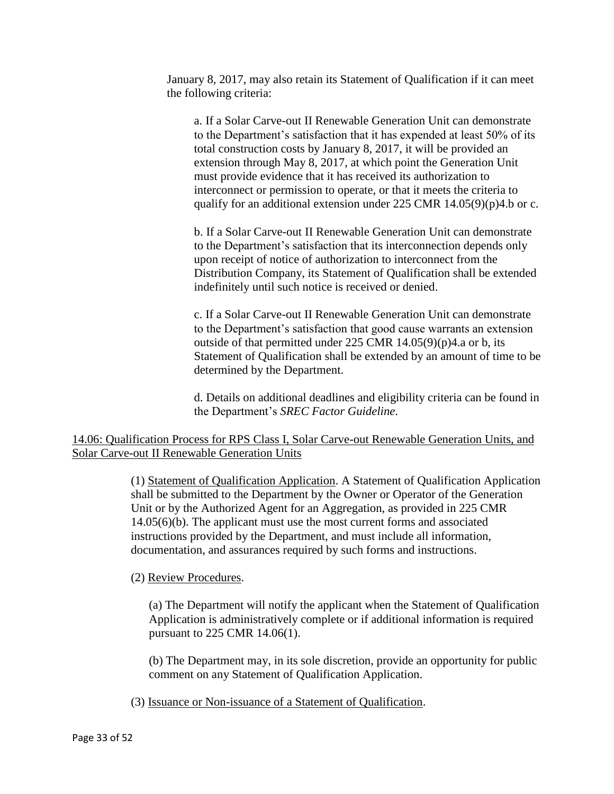January 8, 2017, may also retain its Statement of Qualification if it can meet the following criteria:

a. If a Solar Carve-out II Renewable Generation Unit can demonstrate to the Department's satisfaction that it has expended at least 50% of its total construction costs by January 8, 2017, it will be provided an extension through May 8, 2017, at which point the Generation Unit must provide evidence that it has received its authorization to interconnect or permission to operate, or that it meets the criteria to qualify for an additional extension under 225 CMR  $14.05(9)(p)4.b$  or c.

b. If a Solar Carve-out II Renewable Generation Unit can demonstrate to the Department's satisfaction that its interconnection depends only upon receipt of notice of authorization to interconnect from the Distribution Company, its Statement of Qualification shall be extended indefinitely until such notice is received or denied.

c. If a Solar Carve-out II Renewable Generation Unit can demonstrate to the Department's satisfaction that good cause warrants an extension outside of that permitted under 225 CMR 14.05(9)(p)4.a or b, its Statement of Qualification shall be extended by an amount of time to be determined by the Department.

d. Details on additional deadlines and eligibility criteria can be found in the Department's *SREC Factor Guideline*.

14.06: Qualification Process for RPS Class I, Solar Carve-out Renewable Generation Units, and Solar Carve-out II Renewable Generation Units

> (1) Statement of Qualification Application. A Statement of Qualification Application shall be submitted to the Department by the Owner or Operator of the Generation Unit or by the Authorized Agent for an Aggregation, as provided in 225 CMR 14.05(6)(b). The applicant must use the most current forms and associated instructions provided by the Department, and must include all information, documentation, and assurances required by such forms and instructions.

# (2) Review Procedures.

(a) The Department will notify the applicant when the Statement of Qualification Application is administratively complete or if additional information is required pursuant to 225 CMR 14.06(1).

(b) The Department may, in its sole discretion, provide an opportunity for public comment on any Statement of Qualification Application.

(3) Issuance or Non-issuance of a Statement of Qualification.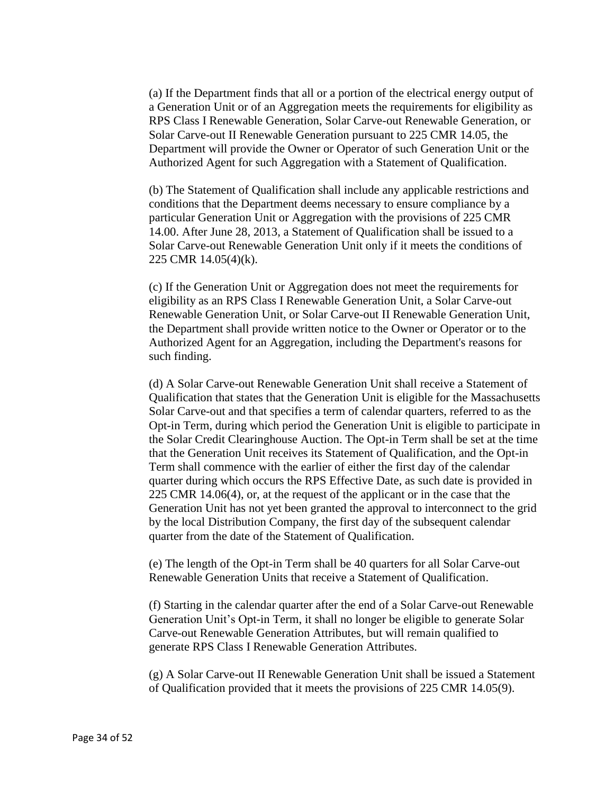(a) If the Department finds that all or a portion of the electrical energy output of a Generation Unit or of an Aggregation meets the requirements for eligibility as RPS Class I Renewable Generation, Solar Carve-out Renewable Generation, or Solar Carve-out II Renewable Generation pursuant to 225 CMR 14.05, the Department will provide the Owner or Operator of such Generation Unit or the Authorized Agent for such Aggregation with a Statement of Qualification.

(b) The Statement of Qualification shall include any applicable restrictions and conditions that the Department deems necessary to ensure compliance by a particular Generation Unit or Aggregation with the provisions of 225 CMR 14.00. After June 28, 2013, a Statement of Qualification shall be issued to a Solar Carve-out Renewable Generation Unit only if it meets the conditions of 225 CMR 14.05(4)(k).

(c) If the Generation Unit or Aggregation does not meet the requirements for eligibility as an RPS Class I Renewable Generation Unit, a Solar Carve-out Renewable Generation Unit, or Solar Carve-out II Renewable Generation Unit, the Department shall provide written notice to the Owner or Operator or to the Authorized Agent for an Aggregation, including the Department's reasons for such finding.

(d) A Solar Carve-out Renewable Generation Unit shall receive a Statement of Qualification that states that the Generation Unit is eligible for the Massachusetts Solar Carve-out and that specifies a term of calendar quarters, referred to as the Opt-in Term, during which period the Generation Unit is eligible to participate in the Solar Credit Clearinghouse Auction. The Opt-in Term shall be set at the time that the Generation Unit receives its Statement of Qualification, and the Opt-in Term shall commence with the earlier of either the first day of the calendar quarter during which occurs the RPS Effective Date, as such date is provided in 225 CMR 14.06(4), or, at the request of the applicant or in the case that the Generation Unit has not yet been granted the approval to interconnect to the grid by the local Distribution Company, the first day of the subsequent calendar quarter from the date of the Statement of Qualification.

(e) The length of the Opt-in Term shall be 40 quarters for all Solar Carve-out Renewable Generation Units that receive a Statement of Qualification.

(f) Starting in the calendar quarter after the end of a Solar Carve-out Renewable Generation Unit's Opt-in Term, it shall no longer be eligible to generate Solar Carve-out Renewable Generation Attributes, but will remain qualified to generate RPS Class I Renewable Generation Attributes.

(g) A Solar Carve-out II Renewable Generation Unit shall be issued a Statement of Qualification provided that it meets the provisions of 225 CMR 14.05(9).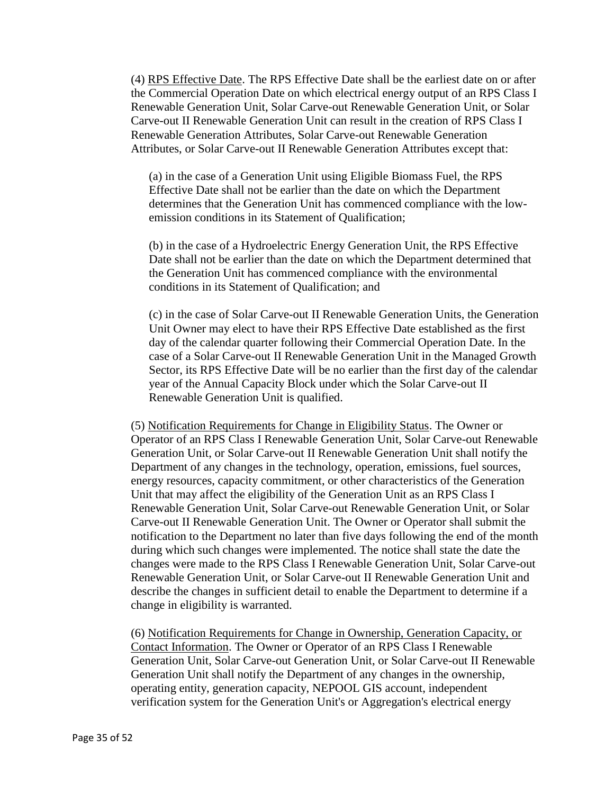(4) RPS Effective Date. The RPS Effective Date shall be the earliest date on or after the Commercial Operation Date on which electrical energy output of an RPS Class I Renewable Generation Unit, Solar Carve-out Renewable Generation Unit, or Solar Carve-out II Renewable Generation Unit can result in the creation of RPS Class I Renewable Generation Attributes, Solar Carve-out Renewable Generation Attributes, or Solar Carve-out II Renewable Generation Attributes except that:

(a) in the case of a Generation Unit using Eligible Biomass Fuel, the RPS Effective Date shall not be earlier than the date on which the Department determines that the Generation Unit has commenced compliance with the lowemission conditions in its Statement of Qualification;

(b) in the case of a Hydroelectric Energy Generation Unit, the RPS Effective Date shall not be earlier than the date on which the Department determined that the Generation Unit has commenced compliance with the environmental conditions in its Statement of Qualification; and

(c) in the case of Solar Carve-out II Renewable Generation Units, the Generation Unit Owner may elect to have their RPS Effective Date established as the first day of the calendar quarter following their Commercial Operation Date. In the case of a Solar Carve-out II Renewable Generation Unit in the Managed Growth Sector, its RPS Effective Date will be no earlier than the first day of the calendar year of the Annual Capacity Block under which the Solar Carve-out II Renewable Generation Unit is qualified.

(5) Notification Requirements for Change in Eligibility Status. The Owner or Operator of an RPS Class I Renewable Generation Unit, Solar Carve-out Renewable Generation Unit, or Solar Carve-out II Renewable Generation Unit shall notify the Department of any changes in the technology, operation, emissions, fuel sources, energy resources, capacity commitment, or other characteristics of the Generation Unit that may affect the eligibility of the Generation Unit as an RPS Class I Renewable Generation Unit, Solar Carve-out Renewable Generation Unit, or Solar Carve-out II Renewable Generation Unit. The Owner or Operator shall submit the notification to the Department no later than five days following the end of the month during which such changes were implemented. The notice shall state the date the changes were made to the RPS Class I Renewable Generation Unit, Solar Carve-out Renewable Generation Unit, or Solar Carve-out II Renewable Generation Unit and describe the changes in sufficient detail to enable the Department to determine if a change in eligibility is warranted.

(6) Notification Requirements for Change in Ownership, Generation Capacity, or Contact Information. The Owner or Operator of an RPS Class I Renewable Generation Unit, Solar Carve-out Generation Unit, or Solar Carve-out II Renewable Generation Unit shall notify the Department of any changes in the ownership, operating entity, generation capacity, NEPOOL GIS account, independent verification system for the Generation Unit's or Aggregation's electrical energy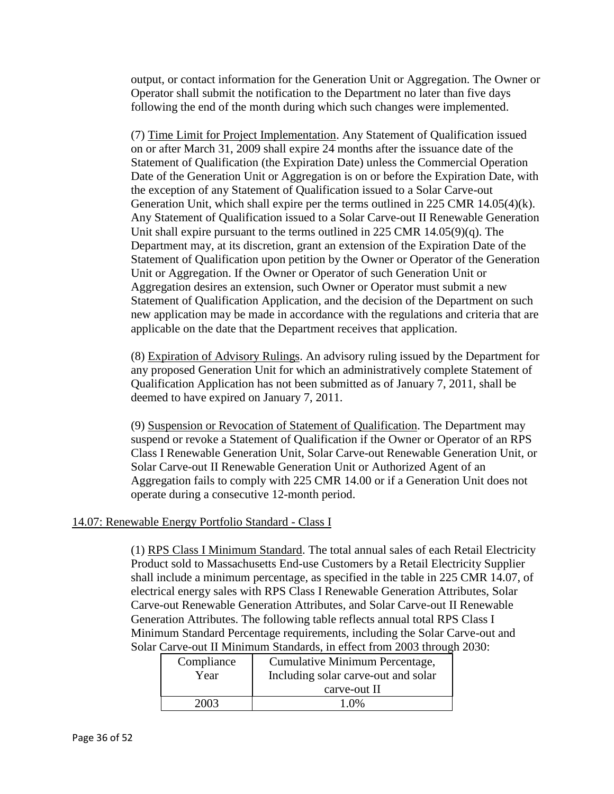output, or contact information for the Generation Unit or Aggregation. The Owner or Operator shall submit the notification to the Department no later than five days following the end of the month during which such changes were implemented.

(7) Time Limit for Project Implementation. Any Statement of Qualification issued on or after March 31, 2009 shall expire 24 months after the issuance date of the Statement of Qualification (the Expiration Date) unless the Commercial Operation Date of the Generation Unit or Aggregation is on or before the Expiration Date, with the exception of any Statement of Qualification issued to a Solar Carve-out Generation Unit, which shall expire per the terms outlined in 225 CMR 14.05(4)(k). Any Statement of Qualification issued to a Solar Carve-out II Renewable Generation Unit shall expire pursuant to the terms outlined in 225 CMR 14.05(9)(q). The Department may, at its discretion, grant an extension of the Expiration Date of the Statement of Qualification upon petition by the Owner or Operator of the Generation Unit or Aggregation. If the Owner or Operator of such Generation Unit or Aggregation desires an extension, such Owner or Operator must submit a new Statement of Qualification Application, and the decision of the Department on such new application may be made in accordance with the regulations and criteria that are applicable on the date that the Department receives that application.

(8) Expiration of Advisory Rulings. An advisory ruling issued by the Department for any proposed Generation Unit for which an administratively complete Statement of Qualification Application has not been submitted as of January 7, 2011, shall be deemed to have expired on January 7, 2011.

(9) Suspension or Revocation of Statement of Qualification. The Department may suspend or revoke a Statement of Qualification if the Owner or Operator of an RPS Class I Renewable Generation Unit, Solar Carve-out Renewable Generation Unit, or Solar Carve-out II Renewable Generation Unit or Authorized Agent of an Aggregation fails to comply with 225 CMR 14.00 or if a Generation Unit does not operate during a consecutive 12-month period.

# 14.07: Renewable Energy Portfolio Standard - Class I

(1) RPS Class I Minimum Standard. The total annual sales of each Retail Electricity Product sold to Massachusetts End-use Customers by a Retail Electricity Supplier shall include a minimum percentage, as specified in the table in 225 CMR 14.07, of electrical energy sales with RPS Class I Renewable Generation Attributes, Solar Carve-out Renewable Generation Attributes, and Solar Carve-out II Renewable Generation Attributes. The following table reflects annual total RPS Class I Minimum Standard Percentage requirements, including the Solar Carve-out and Solar Carve-out II Minimum Standards, in effect from 2003 through 2030:

| Compliance | Cumulative Minimum Percentage,      |
|------------|-------------------------------------|
| Year       | Including solar carve-out and solar |
|            | carve-out II                        |
| 2003       | 1.0\%                               |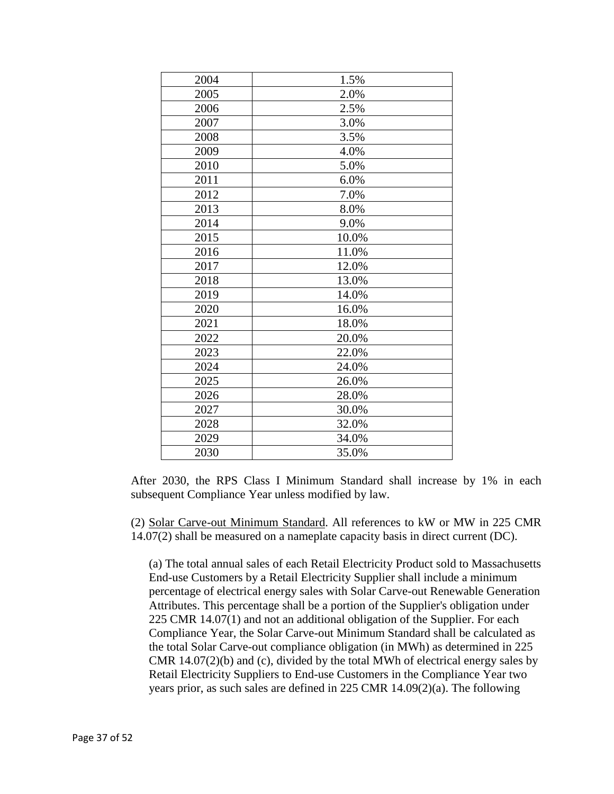| 2004 | 1.5%  |
|------|-------|
| 2005 | 2.0%  |
| 2006 | 2.5%  |
| 2007 | 3.0%  |
| 2008 | 3.5%  |
| 2009 | 4.0%  |
| 2010 | 5.0%  |
| 2011 | 6.0%  |
| 2012 | 7.0%  |
| 2013 | 8.0%  |
| 2014 | 9.0%  |
| 2015 | 10.0% |
| 2016 | 11.0% |
| 2017 | 12.0% |
| 2018 | 13.0% |
| 2019 | 14.0% |
| 2020 | 16.0% |
| 2021 | 18.0% |
| 2022 | 20.0% |
| 2023 | 22.0% |
| 2024 | 24.0% |
| 2025 | 26.0% |
| 2026 | 28.0% |
| 2027 | 30.0% |
| 2028 | 32.0% |
| 2029 | 34.0% |
| 2030 | 35.0% |
|      |       |

After 2030, the RPS Class I Minimum Standard shall increase by 1% in each subsequent Compliance Year unless modified by law.

(2) Solar Carve-out Minimum Standard. All references to kW or MW in 225 CMR 14.07(2) shall be measured on a nameplate capacity basis in direct current (DC).

(a) The total annual sales of each Retail Electricity Product sold to Massachusetts End-use Customers by a Retail Electricity Supplier shall include a minimum percentage of electrical energy sales with Solar Carve-out Renewable Generation Attributes. This percentage shall be a portion of the Supplier's obligation under 225 CMR 14.07(1) and not an additional obligation of the Supplier. For each Compliance Year, the Solar Carve-out Minimum Standard shall be calculated as the total Solar Carve-out compliance obligation (in MWh) as determined in 225 CMR 14.07(2)(b) and (c), divided by the total MWh of electrical energy sales by Retail Electricity Suppliers to End-use Customers in the Compliance Year two years prior, as such sales are defined in 225 CMR 14.09(2)(a). The following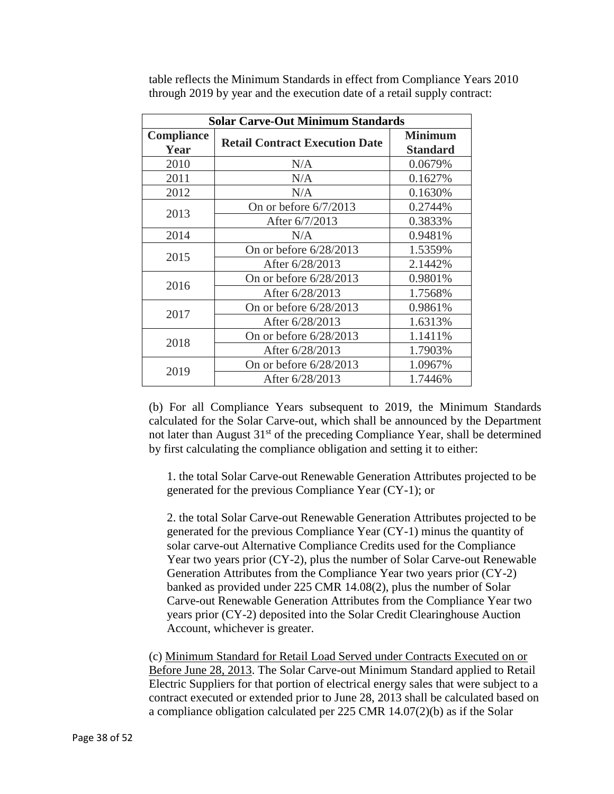| <b>Solar Carve-Out Minimum Standards</b> |                                       |                                   |
|------------------------------------------|---------------------------------------|-----------------------------------|
| Compliance<br>Year                       | <b>Retail Contract Execution Date</b> | <b>Minimum</b><br><b>Standard</b> |
| 2010                                     | N/A                                   | 0.0679%                           |
| 2011                                     | N/A                                   | 0.1627%                           |
| 2012                                     | N/A                                   | 0.1630%                           |
| 2013                                     | On or before $6/7/2013$               | 0.2744%                           |
|                                          | After 6/7/2013                        | 0.3833%                           |
| 2014                                     | N/A                                   | 0.9481%                           |
| 2015                                     | On or before $6/28/2013$              | 1.5359%                           |
|                                          | After 6/28/2013                       | 2.1442%                           |
| 2016                                     | On or before 6/28/2013                | 0.9801%                           |
|                                          | After 6/28/2013                       | 1.7568%                           |
|                                          | On or before $6/28/2013$              | 0.9861%                           |
| 2017                                     | After 6/28/2013                       | 1.6313%                           |
| 2018                                     | On or before $6/28/2013$              | 1.1411%                           |
|                                          | After 6/28/2013                       | 1.7903%                           |
| 2019                                     | On or before $6/28/2013$              | 1.0967%                           |
|                                          | After 6/28/2013                       | 1.7446%                           |

table reflects the Minimum Standards in effect from Compliance Years 2010 through 2019 by year and the execution date of a retail supply contract:

(b) For all Compliance Years subsequent to 2019, the Minimum Standards calculated for the Solar Carve-out, which shall be announced by the Department not later than August  $31<sup>st</sup>$  of the preceding Compliance Year, shall be determined by first calculating the compliance obligation and setting it to either:

1. the total Solar Carve-out Renewable Generation Attributes projected to be generated for the previous Compliance Year (CY-1); or

2. the total Solar Carve-out Renewable Generation Attributes projected to be generated for the previous Compliance Year (CY-1) minus the quantity of solar carve-out Alternative Compliance Credits used for the Compliance Year two years prior (CY-2), plus the number of Solar Carve-out Renewable Generation Attributes from the Compliance Year two years prior (CY-2) banked as provided under 225 CMR 14.08(2), plus the number of Solar Carve-out Renewable Generation Attributes from the Compliance Year two years prior (CY-2) deposited into the Solar Credit Clearinghouse Auction Account, whichever is greater.

(c) Minimum Standard for Retail Load Served under Contracts Executed on or Before June 28, 2013. The Solar Carve-out Minimum Standard applied to Retail Electric Suppliers for that portion of electrical energy sales that were subject to a contract executed or extended prior to June 28, 2013 shall be calculated based on a compliance obligation calculated per 225 CMR 14.07(2)(b) as if the Solar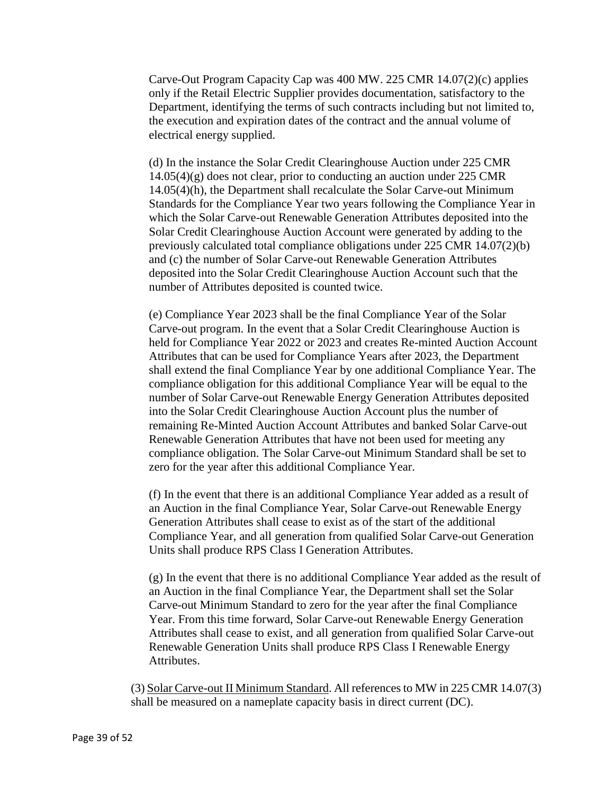Carve-Out Program Capacity Cap was 400 MW. 225 CMR 14.07(2)(c) applies only if the Retail Electric Supplier provides documentation, satisfactory to the Department, identifying the terms of such contracts including but not limited to, the execution and expiration dates of the contract and the annual volume of electrical energy supplied.

(d) In the instance the Solar Credit Clearinghouse Auction under 225 CMR 14.05(4)(g) does not clear, prior to conducting an auction under 225 CMR 14.05(4)(h), the Department shall recalculate the Solar Carve-out Minimum Standards for the Compliance Year two years following the Compliance Year in which the Solar Carve-out Renewable Generation Attributes deposited into the Solar Credit Clearinghouse Auction Account were generated by adding to the previously calculated total compliance obligations under 225 CMR 14.07(2)(b) and (c) the number of Solar Carve-out Renewable Generation Attributes deposited into the Solar Credit Clearinghouse Auction Account such that the number of Attributes deposited is counted twice.

(e) Compliance Year 2023 shall be the final Compliance Year of the Solar Carve-out program. In the event that a Solar Credit Clearinghouse Auction is held for Compliance Year 2022 or 2023 and creates Re-minted Auction Account Attributes that can be used for Compliance Years after 2023, the Department shall extend the final Compliance Year by one additional Compliance Year. The compliance obligation for this additional Compliance Year will be equal to the number of Solar Carve-out Renewable Energy Generation Attributes deposited into the Solar Credit Clearinghouse Auction Account plus the number of remaining Re-Minted Auction Account Attributes and banked Solar Carve-out Renewable Generation Attributes that have not been used for meeting any compliance obligation. The Solar Carve-out Minimum Standard shall be set to zero for the year after this additional Compliance Year.

(f) In the event that there is an additional Compliance Year added as a result of an Auction in the final Compliance Year, Solar Carve-out Renewable Energy Generation Attributes shall cease to exist as of the start of the additional Compliance Year, and all generation from qualified Solar Carve-out Generation Units shall produce RPS Class I Generation Attributes.

(g) In the event that there is no additional Compliance Year added as the result of an Auction in the final Compliance Year, the Department shall set the Solar Carve-out Minimum Standard to zero for the year after the final Compliance Year. From this time forward, Solar Carve-out Renewable Energy Generation Attributes shall cease to exist, and all generation from qualified Solar Carve-out Renewable Generation Units shall produce RPS Class I Renewable Energy Attributes.

(3) Solar Carve-out II Minimum Standard. All references to MW in 225 CMR 14.07(3) shall be measured on a nameplate capacity basis in direct current (DC).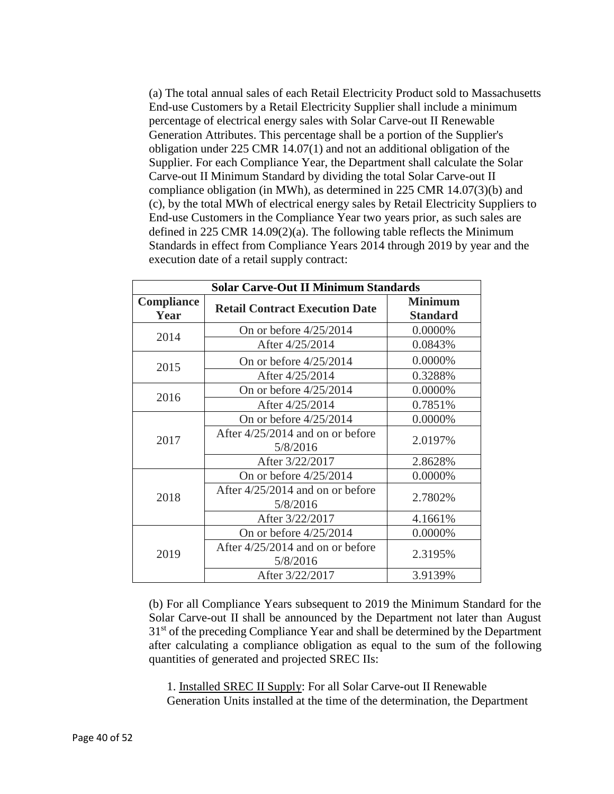(a) The total annual sales of each Retail Electricity Product sold to Massachusetts End-use Customers by a Retail Electricity Supplier shall include a minimum percentage of electrical energy sales with Solar Carve-out II Renewable Generation Attributes. This percentage shall be a portion of the Supplier's obligation under 225 CMR 14.07(1) and not an additional obligation of the Supplier. For each Compliance Year, the Department shall calculate the Solar Carve-out II Minimum Standard by dividing the total Solar Carve-out II compliance obligation (in MWh), as determined in 225 CMR 14.07(3)(b) and (c), by the total MWh of electrical energy sales by Retail Electricity Suppliers to End-use Customers in the Compliance Year two years prior, as such sales are defined in 225 CMR 14.09(2)(a). The following table reflects the Minimum Standards in effect from Compliance Years 2014 through 2019 by year and the execution date of a retail supply contract:

| <b>Solar Carve-Out II Minimum Standards</b> |                                                |                                   |
|---------------------------------------------|------------------------------------------------|-----------------------------------|
| Compliance<br>Year                          | <b>Retail Contract Execution Date</b>          | <b>Minimum</b><br><b>Standard</b> |
| 2014                                        | On or before 4/25/2014                         | 0.0000%                           |
|                                             | After 4/25/2014                                | 0.0843%                           |
| 2015                                        | On or before $4/25/2014$                       | 0.0000%                           |
|                                             | After 4/25/2014                                | 0.3288%                           |
|                                             | On or before $4/25/2014$                       | 0.0000%                           |
| 2016                                        | After 4/25/2014                                | 0.7851%                           |
| 2017                                        | On or before $4/25/2014$                       | 0.0000%                           |
|                                             | After $4/25/2014$ and on or before<br>5/8/2016 | 2.0197%                           |
|                                             | After 3/22/2017                                | 2.8628%                           |
|                                             | On or before 4/25/2014                         | 0.0000%                           |
| 2018                                        | After $4/25/2014$ and on or before<br>5/8/2016 | 2.7802%                           |
|                                             | After 3/22/2017                                | 4.1661%                           |
| 2019                                        | On or before $4/25/2014$                       | 0.0000%                           |
|                                             | After $4/25/2014$ and on or before<br>5/8/2016 | 2.3195%                           |
|                                             | After 3/22/2017                                | 3.9139%                           |

(b) For all Compliance Years subsequent to 2019 the Minimum Standard for the Solar Carve-out II shall be announced by the Department not later than August 31<sup>st</sup> of the preceding Compliance Year and shall be determined by the Department after calculating a compliance obligation as equal to the sum of the following quantities of generated and projected SREC IIs:

1. Installed SREC II Supply: For all Solar Carve-out II Renewable Generation Units installed at the time of the determination, the Department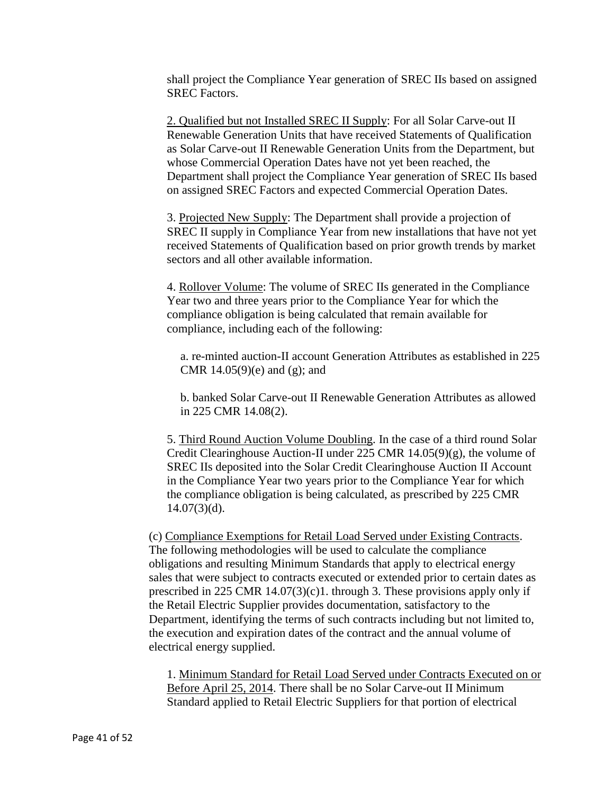shall project the Compliance Year generation of SREC IIs based on assigned SREC Factors.

2. Qualified but not Installed SREC II Supply: For all Solar Carve-out II Renewable Generation Units that have received Statements of Qualification as Solar Carve-out II Renewable Generation Units from the Department, but whose Commercial Operation Dates have not yet been reached, the Department shall project the Compliance Year generation of SREC IIs based on assigned SREC Factors and expected Commercial Operation Dates.

3. Projected New Supply: The Department shall provide a projection of SREC II supply in Compliance Year from new installations that have not yet received Statements of Qualification based on prior growth trends by market sectors and all other available information.

4. Rollover Volume: The volume of SREC IIs generated in the Compliance Year two and three years prior to the Compliance Year for which the compliance obligation is being calculated that remain available for compliance, including each of the following:

a. re-minted auction-II account Generation Attributes as established in 225 CMR  $14.05(9)(e)$  and  $(g)$ ; and

b. banked Solar Carve-out II Renewable Generation Attributes as allowed in 225 CMR 14.08(2).

5. Third Round Auction Volume Doubling. In the case of a third round Solar Credit Clearinghouse Auction-II under 225 CMR  $14.05(9)(g)$ , the volume of SREC IIs deposited into the Solar Credit Clearinghouse Auction II Account in the Compliance Year two years prior to the Compliance Year for which the compliance obligation is being calculated, as prescribed by 225 CMR  $14.07(3)(d)$ .

(c) Compliance Exemptions for Retail Load Served under Existing Contracts. The following methodologies will be used to calculate the compliance obligations and resulting Minimum Standards that apply to electrical energy sales that were subject to contracts executed or extended prior to certain dates as prescribed in 225 CMR  $14.07(3)(c)1$ . through 3. These provisions apply only if the Retail Electric Supplier provides documentation, satisfactory to the Department, identifying the terms of such contracts including but not limited to, the execution and expiration dates of the contract and the annual volume of electrical energy supplied.

1. Minimum Standard for Retail Load Served under Contracts Executed on or Before April 25, 2014. There shall be no Solar Carve-out II Minimum Standard applied to Retail Electric Suppliers for that portion of electrical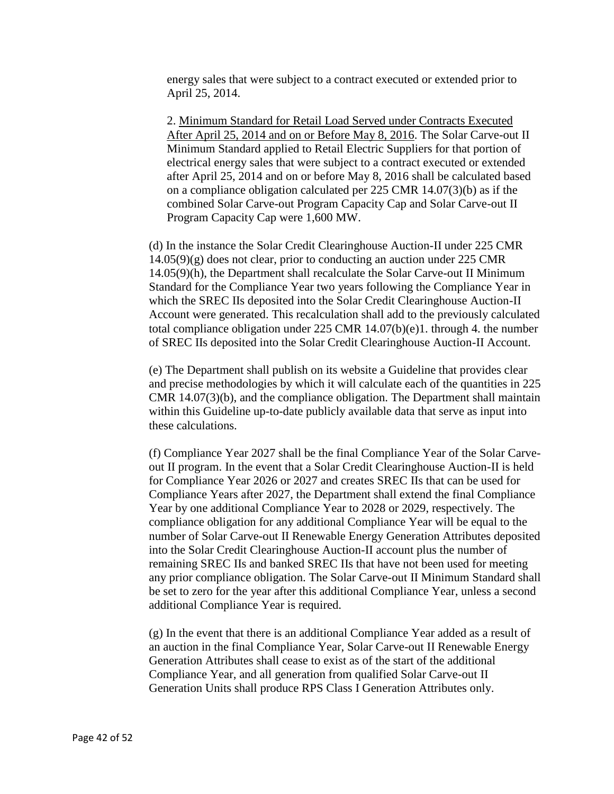energy sales that were subject to a contract executed or extended prior to April 25, 2014.

2. Minimum Standard for Retail Load Served under Contracts Executed After April 25, 2014 and on or Before May 8, 2016. The Solar Carve-out II Minimum Standard applied to Retail Electric Suppliers for that portion of electrical energy sales that were subject to a contract executed or extended after April 25, 2014 and on or before May 8, 2016 shall be calculated based on a compliance obligation calculated per 225 CMR 14.07(3)(b) as if the combined Solar Carve-out Program Capacity Cap and Solar Carve-out II Program Capacity Cap were 1,600 MW.

(d) In the instance the Solar Credit Clearinghouse Auction-II under 225 CMR 14.05(9)(g) does not clear, prior to conducting an auction under 225 CMR 14.05(9)(h), the Department shall recalculate the Solar Carve-out II Minimum Standard for the Compliance Year two years following the Compliance Year in which the SREC IIs deposited into the Solar Credit Clearinghouse Auction-II Account were generated. This recalculation shall add to the previously calculated total compliance obligation under 225 CMR 14.07(b)(e)1. through 4. the number of SREC IIs deposited into the Solar Credit Clearinghouse Auction-II Account.

(e) The Department shall publish on its website a Guideline that provides clear and precise methodologies by which it will calculate each of the quantities in 225 CMR 14.07(3)(b), and the compliance obligation. The Department shall maintain within this Guideline up-to-date publicly available data that serve as input into these calculations.

(f) Compliance Year 2027 shall be the final Compliance Year of the Solar Carveout II program. In the event that a Solar Credit Clearinghouse Auction-II is held for Compliance Year 2026 or 2027 and creates SREC IIs that can be used for Compliance Years after 2027, the Department shall extend the final Compliance Year by one additional Compliance Year to 2028 or 2029, respectively. The compliance obligation for any additional Compliance Year will be equal to the number of Solar Carve-out II Renewable Energy Generation Attributes deposited into the Solar Credit Clearinghouse Auction-II account plus the number of remaining SREC IIs and banked SREC IIs that have not been used for meeting any prior compliance obligation. The Solar Carve-out II Minimum Standard shall be set to zero for the year after this additional Compliance Year, unless a second additional Compliance Year is required.

(g) In the event that there is an additional Compliance Year added as a result of an auction in the final Compliance Year, Solar Carve-out II Renewable Energy Generation Attributes shall cease to exist as of the start of the additional Compliance Year, and all generation from qualified Solar Carve-out II Generation Units shall produce RPS Class I Generation Attributes only.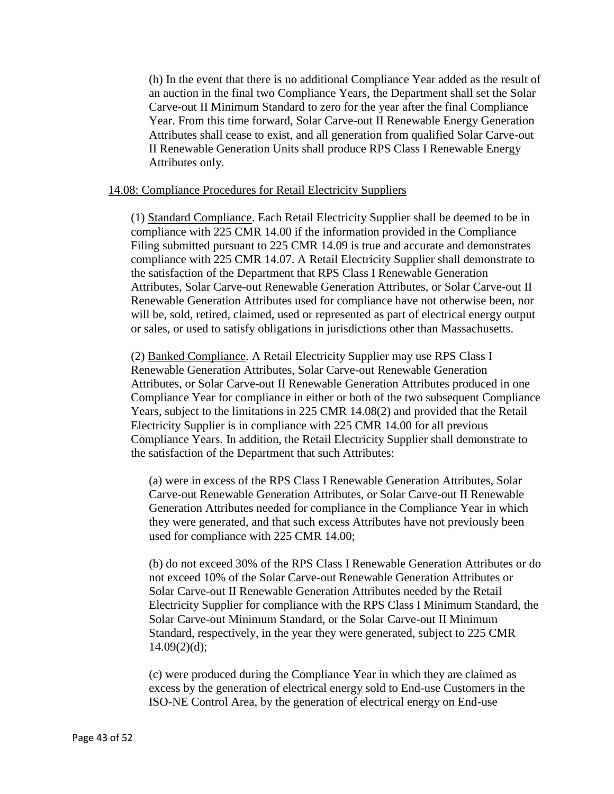(h) In the event that there is no additional Compliance Year added as the result of an auction in the final two Compliance Years, the Department shall set the Solar Carve-out II Minimum Standard to zero for the year after the final Compliance Year. From this time forward, Solar Carve-out II Renewable Energy Generation Attributes shall cease to exist, and all generation from qualified Solar Carve-out II Renewable Generation Units shall produce RPS Class I Renewable Energy Attributes only.

### 14.08: Compliance Procedures for Retail Electricity Suppliers

(1) Standard Compliance. Each Retail Electricity Supplier shall be deemed to be in compliance with 225 CMR 14.00 if the information provided in the Compliance Filing submitted pursuant to 225 CMR 14.09 is true and accurate and demonstrates compliance with 225 CMR 14.07. A Retail Electricity Supplier shall demonstrate to the satisfaction of the Department that RPS Class I Renewable Generation Attributes, Solar Carve-out Renewable Generation Attributes, or Solar Carve-out II Renewable Generation Attributes used for compliance have not otherwise been, nor will be, sold, retired, claimed, used or represented as part of electrical energy output or sales, or used to satisfy obligations in jurisdictions other than Massachusetts.

(2) Banked Compliance. A Retail Electricity Supplier may use RPS Class I Renewable Generation Attributes, Solar Carve-out Renewable Generation Attributes, or Solar Carve-out II Renewable Generation Attributes produced in one Compliance Year for compliance in either or both of the two subsequent Compliance Years, subject to the limitations in 225 CMR 14.08(2) and provided that the Retail Electricity Supplier is in compliance with 225 CMR 14.00 for all previous Compliance Years. In addition, the Retail Electricity Supplier shall demonstrate to the satisfaction of the Department that such Attributes:

(a) were in excess of the RPS Class I Renewable Generation Attributes, Solar Carve-out Renewable Generation Attributes, or Solar Carve-out II Renewable Generation Attributes needed for compliance in the Compliance Year in which they were generated, and that such excess Attributes have not previously been used for compliance with 225 CMR 14.00;

(b) do not exceed 30% of the RPS Class I Renewable Generation Attributes or do not exceed 10% of the Solar Carve-out Renewable Generation Attributes or Solar Carve-out II Renewable Generation Attributes needed by the Retail Electricity Supplier for compliance with the RPS Class I Minimum Standard, the Solar Carve-out Minimum Standard, or the Solar Carve-out II Minimum Standard, respectively, in the year they were generated, subject to 225 CMR  $14.09(2)(d)$ ;

(c) were produced during the Compliance Year in which they are claimed as excess by the generation of electrical energy sold to End-use Customers in the ISO-NE Control Area, by the generation of electrical energy on End-use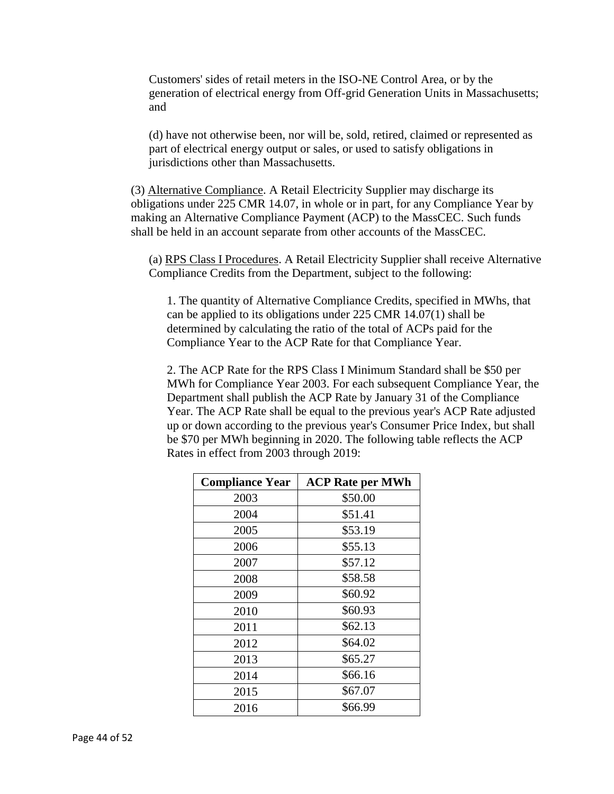Customers' sides of retail meters in the ISO-NE Control Area, or by the generation of electrical energy from Off-grid Generation Units in Massachusetts; and

(d) have not otherwise been, nor will be, sold, retired, claimed or represented as part of electrical energy output or sales, or used to satisfy obligations in jurisdictions other than Massachusetts.

(3) Alternative Compliance. A Retail Electricity Supplier may discharge its obligations under 225 CMR 14.07, in whole or in part, for any Compliance Year by making an Alternative Compliance Payment (ACP) to the MassCEC. Such funds shall be held in an account separate from other accounts of the MassCEC.

(a) RPS Class I Procedures. A Retail Electricity Supplier shall receive Alternative Compliance Credits from the Department, subject to the following:

1. The quantity of Alternative Compliance Credits, specified in MWhs, that can be applied to its obligations under 225 CMR 14.07(1) shall be determined by calculating the ratio of the total of ACPs paid for the Compliance Year to the ACP Rate for that Compliance Year.

2. The ACP Rate for the RPS Class I Minimum Standard shall be \$50 per MWh for Compliance Year 2003. For each subsequent Compliance Year, the Department shall publish the ACP Rate by January 31 of the Compliance Year. The ACP Rate shall be equal to the previous year's ACP Rate adjusted up or down according to the previous year's Consumer Price Index, but shall be \$70 per MWh beginning in 2020. The following table reflects the ACP Rates in effect from 2003 through 2019:

| <b>Compliance Year</b> | <b>ACP Rate per MWh</b> |
|------------------------|-------------------------|
| 2003                   | \$50.00                 |
| 2004                   | \$51.41                 |
| 2005                   | \$53.19                 |
| 2006                   | \$55.13                 |
| 2007                   | \$57.12                 |
| 2008                   | \$58.58                 |
| 2009                   | \$60.92                 |
| 2010                   | \$60.93                 |
| 2011                   | \$62.13                 |
| 2012                   | \$64.02                 |
| 2013                   | \$65.27                 |
| 2014                   | \$66.16                 |
| 2015                   | \$67.07                 |
| 2016                   | \$66.99                 |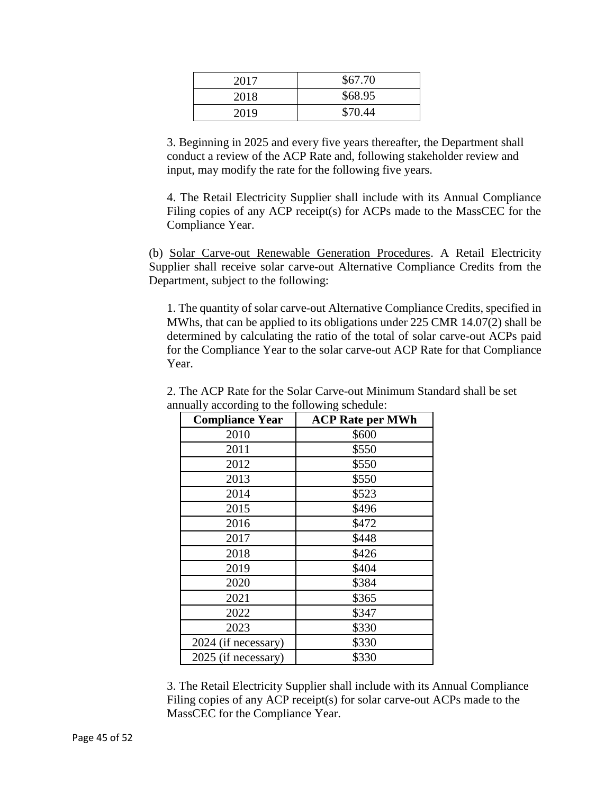| 2017 | \$67.70 |
|------|---------|
| 2018 | \$68.95 |
| 2019 | \$70.44 |

3. Beginning in 2025 and every five years thereafter, the Department shall conduct a review of the ACP Rate and, following stakeholder review and input, may modify the rate for the following five years.

4. The Retail Electricity Supplier shall include with its Annual Compliance Filing copies of any ACP receipt(s) for ACPs made to the MassCEC for the Compliance Year.

(b) Solar Carve-out Renewable Generation Procedures. A Retail Electricity Supplier shall receive solar carve-out Alternative Compliance Credits from the Department, subject to the following:

1. The quantity of solar carve-out Alternative Compliance Credits, specified in MWhs, that can be applied to its obligations under 225 CMR 14.07(2) shall be determined by calculating the ratio of the total of solar carve-out ACPs paid for the Compliance Year to the solar carve-out ACP Rate for that Compliance Year.

| <b>Compliance Year</b> | <b>ACP Rate per MWh</b> |
|------------------------|-------------------------|
| 2010                   | \$600                   |
| 2011                   | \$550                   |
| 2012                   | \$550                   |
| 2013                   | \$550                   |
| 2014                   | \$523                   |
| 2015                   | \$496                   |
| 2016                   | \$472                   |
| 2017                   | \$448                   |
| 2018                   | \$426                   |
| 2019                   | \$404                   |
| 2020                   | \$384                   |
| 2021                   | \$365                   |
| 2022                   | \$347                   |
| 2023                   | \$330                   |
| 2024 (if necessary)    | \$330                   |
| 2025 (if necessary)    | \$330                   |

2. The ACP Rate for the Solar Carve-out Minimum Standard shall be set annually according to the following schedule:

3. The Retail Electricity Supplier shall include with its Annual Compliance Filing copies of any ACP receipt(s) for solar carve-out ACPs made to the MassCEC for the Compliance Year.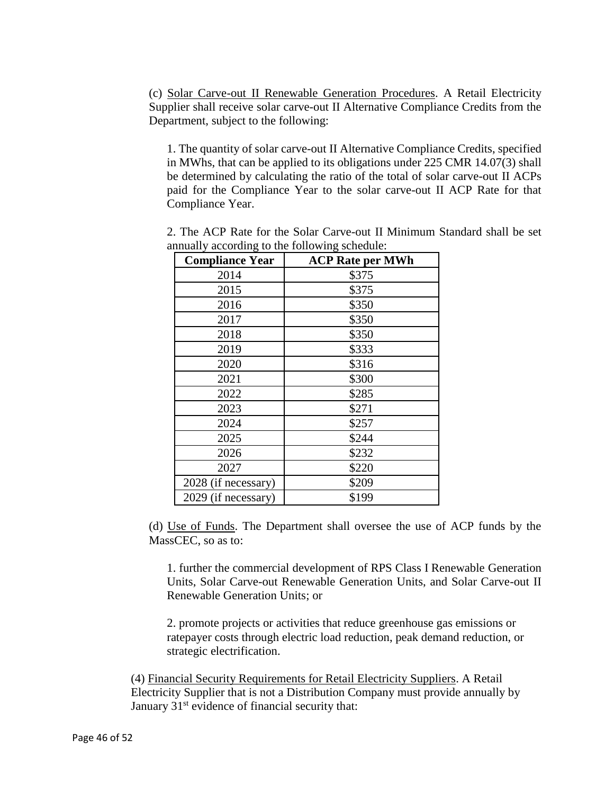(c) Solar Carve-out II Renewable Generation Procedures. A Retail Electricity Supplier shall receive solar carve-out II Alternative Compliance Credits from the Department, subject to the following:

1. The quantity of solar carve-out II Alternative Compliance Credits, specified in MWhs, that can be applied to its obligations under 225 CMR 14.07(3) shall be determined by calculating the ratio of the total of solar carve-out II ACPs paid for the Compliance Year to the solar carve-out II ACP Rate for that Compliance Year.

| <b>Compliance Year</b> | <b>ACP Rate per MWh</b> |
|------------------------|-------------------------|
| 2014                   | \$375                   |
| 2015                   | \$375                   |
| 2016                   | \$350                   |
| 2017                   | \$350                   |
| 2018                   | \$350                   |
| 2019                   | \$333                   |
| 2020                   | \$316                   |
| 2021                   | \$300                   |
| 2022                   | \$285                   |
| 2023                   | \$271                   |
| 2024                   | \$257                   |
| 2025                   | \$244                   |
| 2026                   | \$232                   |
| 2027                   | \$220                   |
| 2028 (if necessary)    | \$209                   |
| 2029 (if necessary)    | \$199                   |

2. The ACP Rate for the Solar Carve-out II Minimum Standard shall be set annually according to the following schedule:

(d) Use of Funds. The Department shall oversee the use of ACP funds by the MassCEC, so as to:

1. further the commercial development of RPS Class I Renewable Generation Units, Solar Carve-out Renewable Generation Units, and Solar Carve-out II Renewable Generation Units; or

2. promote projects or activities that reduce greenhouse gas emissions or ratepayer costs through electric load reduction, peak demand reduction, or strategic electrification.

(4) Financial Security Requirements for Retail Electricity Suppliers. A Retail Electricity Supplier that is not a Distribution Company must provide annually by January  $31<sup>st</sup>$  evidence of financial security that: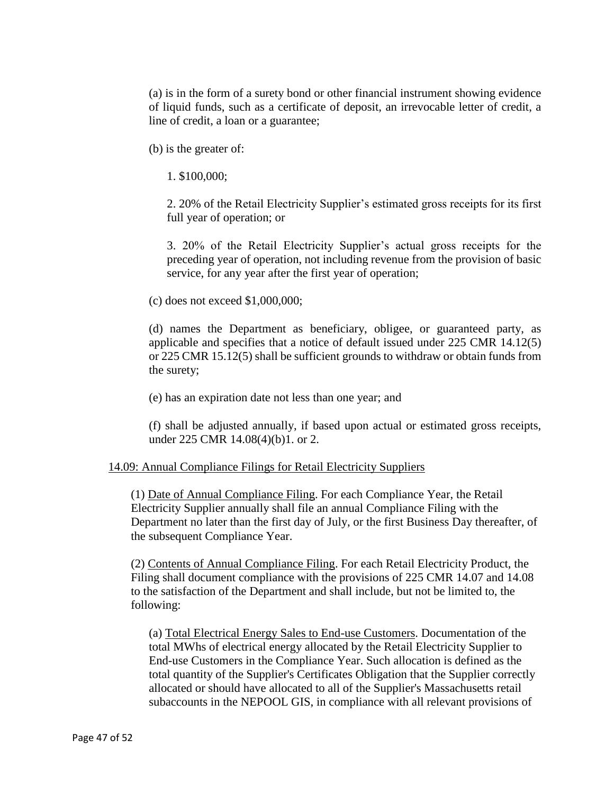(a) is in the form of a surety bond or other financial instrument showing evidence of liquid funds, such as a certificate of deposit, an irrevocable letter of credit, a line of credit, a loan or a guarantee;

(b) is the greater of:

1. \$100,000;

2. 20% of the Retail Electricity Supplier's estimated gross receipts for its first full year of operation; or

3. 20% of the Retail Electricity Supplier's actual gross receipts for the preceding year of operation, not including revenue from the provision of basic service, for any year after the first year of operation;

(c) does not exceed \$1,000,000;

(d) names the Department as beneficiary, obligee, or guaranteed party, as applicable and specifies that a notice of default issued under 225 CMR 14.12(5) or 225 CMR 15.12(5) shall be sufficient grounds to withdraw or obtain funds from the surety;

(e) has an expiration date not less than one year; and

(f) shall be adjusted annually, if based upon actual or estimated gross receipts, under 225 CMR 14.08(4)(b)1. or 2.

### 14.09: Annual Compliance Filings for Retail Electricity Suppliers

(1) Date of Annual Compliance Filing. For each Compliance Year, the Retail Electricity Supplier annually shall file an annual Compliance Filing with the Department no later than the first day of July, or the first Business Day thereafter, of the subsequent Compliance Year.

(2) Contents of Annual Compliance Filing. For each Retail Electricity Product, the Filing shall document compliance with the provisions of 225 CMR 14.07 and 14.08 to the satisfaction of the Department and shall include, but not be limited to, the following:

(a) Total Electrical Energy Sales to End-use Customers. Documentation of the total MWhs of electrical energy allocated by the Retail Electricity Supplier to End-use Customers in the Compliance Year. Such allocation is defined as the total quantity of the Supplier's Certificates Obligation that the Supplier correctly allocated or should have allocated to all of the Supplier's Massachusetts retail subaccounts in the NEPOOL GIS, in compliance with all relevant provisions of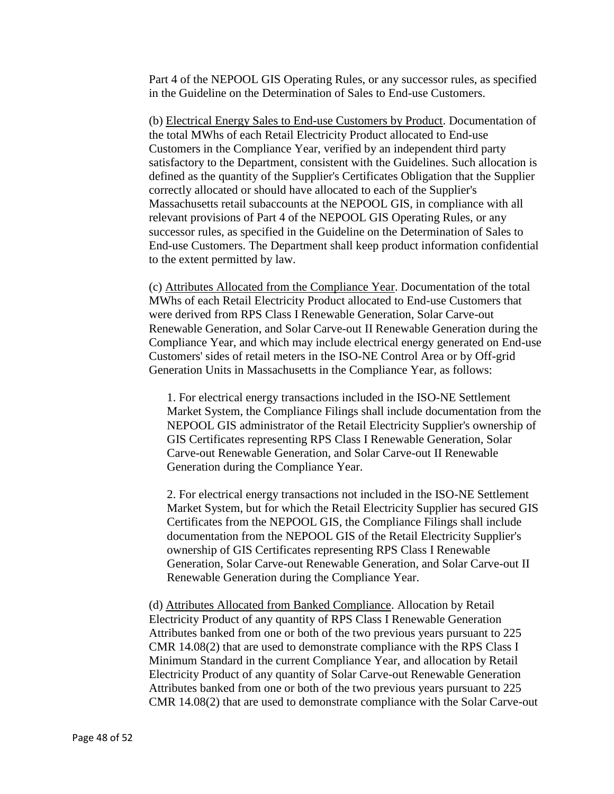Part 4 of the NEPOOL GIS Operating Rules, or any successor rules, as specified in the Guideline on the Determination of Sales to End-use Customers.

(b) Electrical Energy Sales to End-use Customers by Product. Documentation of the total MWhs of each Retail Electricity Product allocated to End-use Customers in the Compliance Year, verified by an independent third party satisfactory to the Department, consistent with the Guidelines. Such allocation is defined as the quantity of the Supplier's Certificates Obligation that the Supplier correctly allocated or should have allocated to each of the Supplier's Massachusetts retail subaccounts at the NEPOOL GIS, in compliance with all relevant provisions of Part 4 of the NEPOOL GIS Operating Rules, or any successor rules, as specified in the Guideline on the Determination of Sales to End-use Customers. The Department shall keep product information confidential to the extent permitted by law.

(c) Attributes Allocated from the Compliance Year. Documentation of the total MWhs of each Retail Electricity Product allocated to End-use Customers that were derived from RPS Class I Renewable Generation, Solar Carve-out Renewable Generation, and Solar Carve-out II Renewable Generation during the Compliance Year, and which may include electrical energy generated on End-use Customers' sides of retail meters in the ISO-NE Control Area or by Off-grid Generation Units in Massachusetts in the Compliance Year, as follows:

1. For electrical energy transactions included in the ISO-NE Settlement Market System, the Compliance Filings shall include documentation from the NEPOOL GIS administrator of the Retail Electricity Supplier's ownership of GIS Certificates representing RPS Class I Renewable Generation, Solar Carve-out Renewable Generation, and Solar Carve-out II Renewable Generation during the Compliance Year.

2. For electrical energy transactions not included in the ISO-NE Settlement Market System, but for which the Retail Electricity Supplier has secured GIS Certificates from the NEPOOL GIS, the Compliance Filings shall include documentation from the NEPOOL GIS of the Retail Electricity Supplier's ownership of GIS Certificates representing RPS Class I Renewable Generation, Solar Carve-out Renewable Generation, and Solar Carve-out II Renewable Generation during the Compliance Year.

(d) Attributes Allocated from Banked Compliance. Allocation by Retail Electricity Product of any quantity of RPS Class I Renewable Generation Attributes banked from one or both of the two previous years pursuant to 225 CMR 14.08(2) that are used to demonstrate compliance with the RPS Class I Minimum Standard in the current Compliance Year, and allocation by Retail Electricity Product of any quantity of Solar Carve-out Renewable Generation Attributes banked from one or both of the two previous years pursuant to 225 CMR 14.08(2) that are used to demonstrate compliance with the Solar Carve-out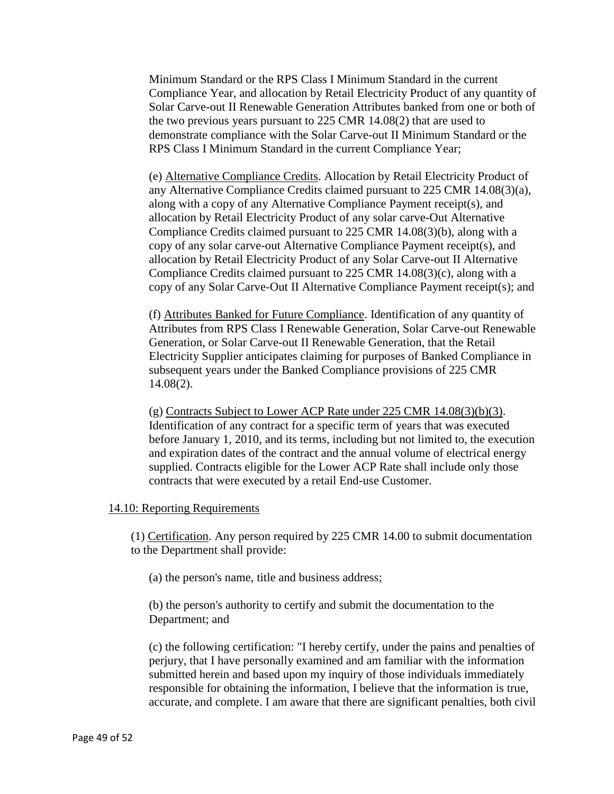Minimum Standard or the RPS Class I Minimum Standard in the current Compliance Year, and allocation by Retail Electricity Product of any quantity of Solar Carve-out II Renewable Generation Attributes banked from one or both of the two previous years pursuant to 225 CMR 14.08(2) that are used to demonstrate compliance with the Solar Carve-out II Minimum Standard or the RPS Class I Minimum Standard in the current Compliance Year;

(e) Alternative Compliance Credits. Allocation by Retail Electricity Product of any Alternative Compliance Credits claimed pursuant to 225 CMR 14.08(3)(a), along with a copy of any Alternative Compliance Payment receipt(s), and allocation by Retail Electricity Product of any solar carve-Out Alternative Compliance Credits claimed pursuant to 225 CMR 14.08(3)(b), along with a copy of any solar carve-out Alternative Compliance Payment receipt(s), and allocation by Retail Electricity Product of any Solar Carve-out II Alternative Compliance Credits claimed pursuant to 225 CMR 14.08(3)(c), along with a copy of any Solar Carve-Out II Alternative Compliance Payment receipt(s); and

(f) Attributes Banked for Future Compliance. Identification of any quantity of Attributes from RPS Class I Renewable Generation, Solar Carve-out Renewable Generation, or Solar Carve-out II Renewable Generation, that the Retail Electricity Supplier anticipates claiming for purposes of Banked Compliance in subsequent years under the Banked Compliance provisions of 225 CMR 14.08(2).

(g) Contracts Subject to Lower ACP Rate under 225 CMR 14.08(3)(b)(3). Identification of any contract for a specific term of years that was executed before January 1, 2010, and its terms, including but not limited to, the execution and expiration dates of the contract and the annual volume of electrical energy supplied. Contracts eligible for the Lower ACP Rate shall include only those contracts that were executed by a retail End-use Customer.

#### 14.10: Reporting Requirements

(1) Certification. Any person required by 225 CMR 14.00 to submit documentation to the Department shall provide:

(a) the person's name, title and business address;

(b) the person's authority to certify and submit the documentation to the Department; and

(c) the following certification: "I hereby certify, under the pains and penalties of perjury, that I have personally examined and am familiar with the information submitted herein and based upon my inquiry of those individuals immediately responsible for obtaining the information, I believe that the information is true, accurate, and complete. I am aware that there are significant penalties, both civil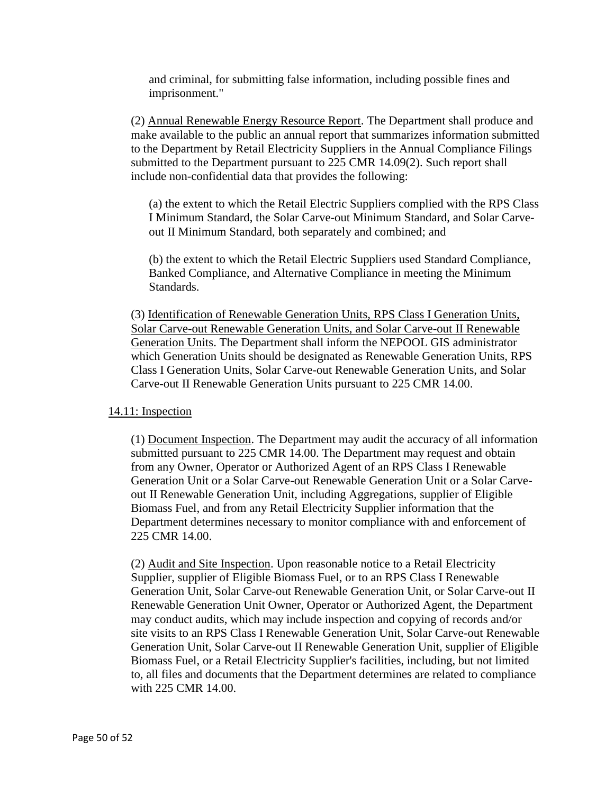and criminal, for submitting false information, including possible fines and imprisonment."

(2) Annual Renewable Energy Resource Report. The Department shall produce and make available to the public an annual report that summarizes information submitted to the Department by Retail Electricity Suppliers in the Annual Compliance Filings submitted to the Department pursuant to 225 CMR 14.09(2). Such report shall include non-confidential data that provides the following:

(a) the extent to which the Retail Electric Suppliers complied with the RPS Class I Minimum Standard, the Solar Carve-out Minimum Standard, and Solar Carveout II Minimum Standard, both separately and combined; and

(b) the extent to which the Retail Electric Suppliers used Standard Compliance, Banked Compliance, and Alternative Compliance in meeting the Minimum Standards.

(3) Identification of Renewable Generation Units, RPS Class I Generation Units, Solar Carve-out Renewable Generation Units, and Solar Carve-out II Renewable Generation Units. The Department shall inform the NEPOOL GIS administrator which Generation Units should be designated as Renewable Generation Units, RPS Class I Generation Units, Solar Carve-out Renewable Generation Units, and Solar Carve-out II Renewable Generation Units pursuant to 225 CMR 14.00.

### 14.11: Inspection

(1) Document Inspection. The Department may audit the accuracy of all information submitted pursuant to 225 CMR 14.00. The Department may request and obtain from any Owner, Operator or Authorized Agent of an RPS Class I Renewable Generation Unit or a Solar Carve-out Renewable Generation Unit or a Solar Carveout II Renewable Generation Unit, including Aggregations, supplier of Eligible Biomass Fuel, and from any Retail Electricity Supplier information that the Department determines necessary to monitor compliance with and enforcement of 225 CMR 14.00.

(2) Audit and Site Inspection. Upon reasonable notice to a Retail Electricity Supplier, supplier of Eligible Biomass Fuel, or to an RPS Class I Renewable Generation Unit, Solar Carve-out Renewable Generation Unit, or Solar Carve-out II Renewable Generation Unit Owner, Operator or Authorized Agent, the Department may conduct audits, which may include inspection and copying of records and/or site visits to an RPS Class I Renewable Generation Unit, Solar Carve-out Renewable Generation Unit, Solar Carve-out II Renewable Generation Unit, supplier of Eligible Biomass Fuel, or a Retail Electricity Supplier's facilities, including, but not limited to, all files and documents that the Department determines are related to compliance with 225 CMR 14.00.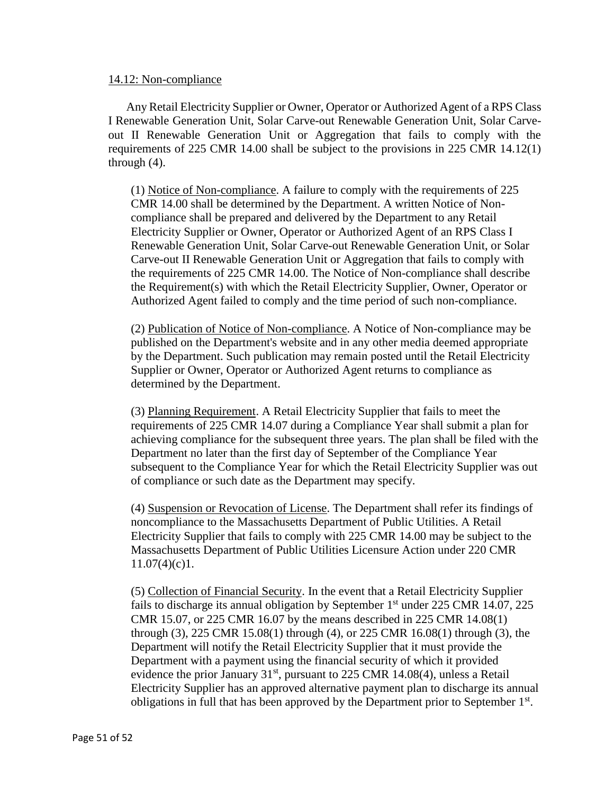### 14.12: Non-compliance

Any Retail Electricity Supplier or Owner, Operator or Authorized Agent of a RPS Class I Renewable Generation Unit, Solar Carve-out Renewable Generation Unit, Solar Carveout II Renewable Generation Unit or Aggregation that fails to comply with the requirements of 225 CMR 14.00 shall be subject to the provisions in 225 CMR 14.12(1) through (4).

(1) Notice of Non-compliance. A failure to comply with the requirements of 225 CMR 14.00 shall be determined by the Department. A written Notice of Noncompliance shall be prepared and delivered by the Department to any Retail Electricity Supplier or Owner, Operator or Authorized Agent of an RPS Class I Renewable Generation Unit, Solar Carve-out Renewable Generation Unit, or Solar Carve-out II Renewable Generation Unit or Aggregation that fails to comply with the requirements of 225 CMR 14.00. The Notice of Non-compliance shall describe the Requirement(s) with which the Retail Electricity Supplier, Owner, Operator or Authorized Agent failed to comply and the time period of such non-compliance.

(2) Publication of Notice of Non-compliance. A Notice of Non-compliance may be published on the Department's website and in any other media deemed appropriate by the Department. Such publication may remain posted until the Retail Electricity Supplier or Owner, Operator or Authorized Agent returns to compliance as determined by the Department.

(3) Planning Requirement. A Retail Electricity Supplier that fails to meet the requirements of 225 CMR 14.07 during a Compliance Year shall submit a plan for achieving compliance for the subsequent three years. The plan shall be filed with the Department no later than the first day of September of the Compliance Year subsequent to the Compliance Year for which the Retail Electricity Supplier was out of compliance or such date as the Department may specify.

(4) Suspension or Revocation of License. The Department shall refer its findings of noncompliance to the Massachusetts Department of Public Utilities. A Retail Electricity Supplier that fails to comply with 225 CMR 14.00 may be subject to the Massachusetts Department of Public Utilities Licensure Action under 220 CMR  $11.07(4)(c)1.$ 

(5) Collection of Financial Security. In the event that a Retail Electricity Supplier fails to discharge its annual obligation by September  $1<sup>st</sup>$  under 225 CMR 14.07, 225 CMR 15.07, or 225 CMR 16.07 by the means described in 225 CMR 14.08(1) through (3), 225 CMR 15.08(1) through (4), or 225 CMR 16.08(1) through (3), the Department will notify the Retail Electricity Supplier that it must provide the Department with a payment using the financial security of which it provided evidence the prior January  $31<sup>st</sup>$ , pursuant to 225 CMR 14.08(4), unless a Retail Electricity Supplier has an approved alternative payment plan to discharge its annual obligations in full that has been approved by the Department prior to September  $1<sup>st</sup>$ .